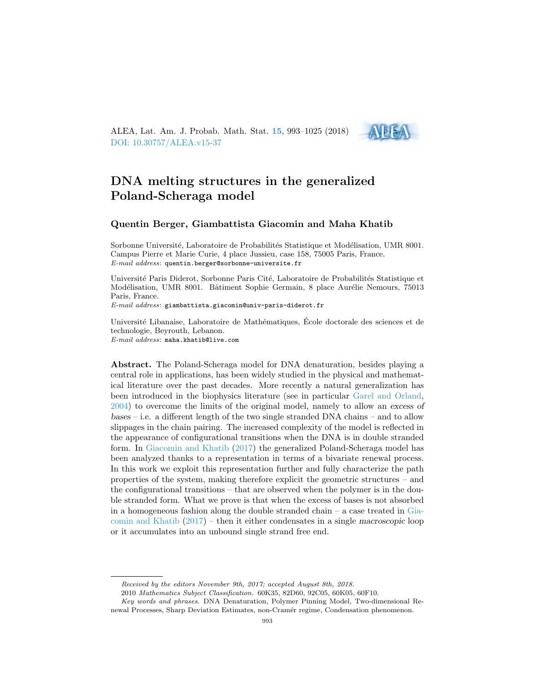ALEA, Lat. Am. J. Probab. Math. Stat. [15](http://alea.impa.br/english/index_v15.htm), 993–1025 (2018) [DOI: 10.30757/ALEA.v15-37](https://doi.org/10.30757/ALEA.v15-37)



# DNA melting structures in the generalized Poland-Scheraga model

## Quentin Berger, Giambattista Giacomin and Maha Khatib

Sorbonne Université, Laboratoire de Probabilités Statistique et Modélisation, UMR 8001. Campus Pierre et Marie Curie, 4 place Jussieu, case 158, 75005 Paris, France. E-mail address: quentin.berger@sorbonne-universite.fr

Université Paris Diderot, Sorbonne Paris Cité, Laboratoire de Probabilités Statistique et Modélisation, UMR 8001. Bâtiment Sophie Germain, 8 place Aurélie Nemours, 75013 Paris, France.

E-mail address: giambattista.giacomin@univ-paris-diderot.fr

Université Libanaise, Laboratoire de Mathématiques, École doctorale des sciences et de technologie, Beyrouth, Lebanon. E-mail address: maha.khatib@live.com

Abstract. The Poland-Scheraga model for DNA denaturation, besides playing a central role in applications, has been widely studied in the physical and mathematical literature over the past decades. More recently a natural generalization has been introduced in the biophysics literature (see in particular [Garel and Orland,](#page-32-0) [2004\)](#page-32-0) to overcome the limits of the original model, namely to allow an excess of bases – i.e. a different length of the two single stranded DNA chains – and to allow slippages in the chain pairing. The increased complexity of the model is reflected in the appearance of configurational transitions when the DNA is in double stranded form. In [Giacomin and Khatib](#page-32-1) [\(2017\)](#page-32-1) the generalized Poland-Scheraga model has been analyzed thanks to a representation in terms of a bivariate renewal process. In this work we exploit this representation further and fully characterize the path properties of the system, making therefore explicit the geometric structures – and the configurational transitions – that are observed when the polymer is in the double stranded form. What we prove is that when the excess of bases is not absorbed in a homogeneous fashion along the double stranded chain  $-$  a case treated in [Gia](#page-32-1)[comin and Khatib](#page-32-1) [\(2017\)](#page-32-1) – then it either condensates in a single macroscopic loop or it accumulates into an unbound single strand free end.

Received by the editors November 9th, 2017; accepted August 8th, 2018.

<sup>2010</sup> Mathematics Subject Classification. 60K35, 82D60, 92C05, 60K05, 60F10.

Key words and phrases. DNA Denaturation, Polymer Pinning Model, Two-dimensional Renewal Processes, Sharp Deviation Estimates, non-Cram´er regime, Condensation phenomenon.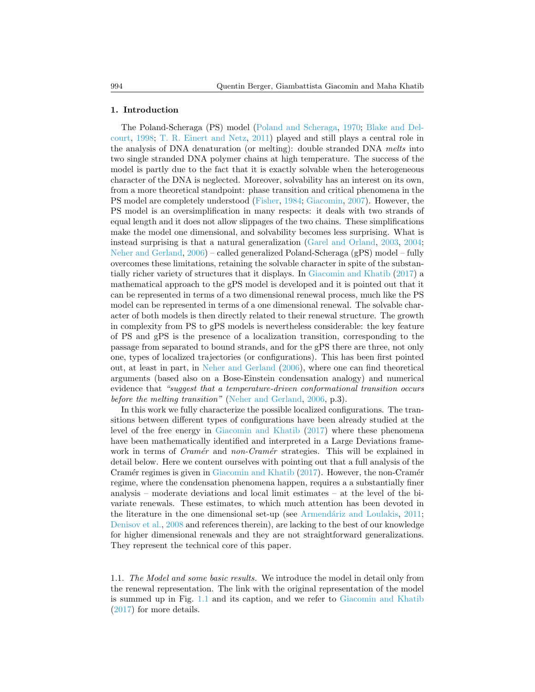#### 1. Introduction

The Poland-Scheraga (PS) model [\(Poland and Scheraga,](#page-32-2) [1970;](#page-32-2) [Blake and Del](#page-31-0)[court,](#page-31-0) [1998;](#page-31-0) [T. R. Einert and Netz,](#page-32-3) [2011\)](#page-32-3) played and still plays a central role in the analysis of DNA denaturation (or melting): double stranded DNA melts into two single stranded DNA polymer chains at high temperature. The success of the model is partly due to the fact that it is exactly solvable when the heterogeneous character of the DNA is neglected. Moreover, solvability has an interest on its own, from a more theoretical standpoint: phase transition and critical phenomena in the PS model are completely understood [\(Fisher,](#page-32-4) [1984;](#page-32-4) [Giacomin,](#page-32-5) [2007\)](#page-32-5). However, the PS model is an oversimplification in many respects: it deals with two strands of equal length and it does not allow slippages of the two chains. These simplifications make the model one dimensional, and solvability becomes less surprising. What is instead surprising is that a natural generalization [\(Garel and Orland,](#page-32-6) [2003,](#page-32-6) [2004;](#page-32-0) [Neher and Gerland,](#page-32-7) [2006\)](#page-32-7) – called generalized Poland-Scheraga (gPS) model – fully overcomes these limitations, retaining the solvable character in spite of the substantially richer variety of structures that it displays. In [Giacomin and Khatib](#page-32-1) [\(2017\)](#page-32-1) a mathematical approach to the gPS model is developed and it is pointed out that it can be represented in terms of a two dimensional renewal process, much like the PS model can be represented in terms of a one dimensional renewal. The solvable character of both models is then directly related to their renewal structure. The growth in complexity from PS to gPS models is nevertheless considerable: the key feature of PS and gPS is the presence of a localization transition, corresponding to the passage from separated to bound strands, and for the gPS there are three, not only one, types of localized trajectories (or configurations). This has been first pointed out, at least in part, in [Neher and Gerland](#page-32-7) [\(2006\)](#page-32-7), where one can find theoretical arguments (based also on a Bose-Einstein condensation analogy) and numerical evidence that "suggest that a temperature-driven conformational transition occurs before the melting transition" [\(Neher and Gerland,](#page-32-7) [2006,](#page-32-7) p.3).

In this work we fully characterize the possible localized configurations. The transitions between different types of configurations have been already studied at the level of the free energy in [Giacomin and Khatib](#page-32-1) [\(2017\)](#page-32-1) where these phenomena have been mathematically identified and interpreted in a Large Deviations framework in terms of *Cramér* and non-Cramér strategies. This will be explained in detail below. Here we content ourselves with pointing out that a full analysis of the Cramér regimes is given in [Giacomin and Khatib](#page-32-1)  $(2017)$ . However, the non-Cramér regime, where the condensation phenomena happen, requires a a substantially finer analysis – moderate deviations and local limit estimates – at the level of the bivariate renewals. These estimates, to which much attention has been devoted in the literature in the one dimensional set-up (see Armendáriz and Loulakis, [2011;](#page-31-1) [Denisov et al.,](#page-31-2) [2008](#page-31-2) and references therein), are lacking to the best of our knowledge for higher dimensional renewals and they are not straightforward generalizations. They represent the technical core of this paper.

1.1. The Model and some basic results. We introduce the model in detail only from the renewal representation. The link with the original representation of the model is summed up in Fig. [1.1](#page-3-0) and its caption, and we refer to [Giacomin and Khatib](#page-32-1) [\(2017\)](#page-32-1) for more details.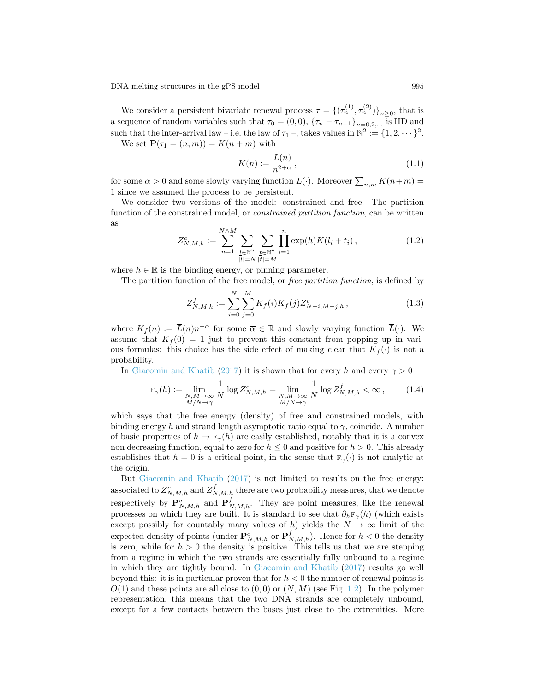We consider a persistent bivariate renewal process  $\tau = \{(\tau_n^{(1)}, \tau_n^{(2)})\}_{n \geq 0}$ , that is a sequence of random variables such that  $\tau_0 = (0,0)$ ,  $\{\tau_n - \tau_{n-1}\}_{n=0,2,\dots}$  is IID and such that the inter-arrival law – i.e. the law of  $\tau_1$  –, takes values in  $\mathbb{N}^2 := \{1, 2, \dots \}^2$ .

We set  $\mathbf{P}(\tau_1 = (n, m)) = K(n + m)$  with

$$
K(n) := \frac{L(n)}{n^{2+\alpha}},
$$
\n(1.1)

for some  $\alpha > 0$  and some slowly varying function  $L(\cdot)$ . Moreover  $\sum_{n,m} K(n+m) =$ 1 since we assumed the process to be persistent.

We consider two versions of the model: constrained and free. The partition function of the constrained model, or constrained partition function, can be written as

$$
Z_{N,M,h}^c := \sum_{n=1}^{N \wedge M} \sum_{\substack{l \in \mathbb{N}^n \\ |l| = N}} \sum_{\substack{t \in \mathbb{N}^n \\ |t| = M}} \prod_{i=1}^n \exp(h) K(l_i + t_i), \tag{1.2}
$$

where  $h \in \mathbb{R}$  is the binding energy, or pinning parameter.

The partition function of the free model, or *free partition function*, is defined by

<span id="page-2-0"></span>
$$
Z_{N,M,h}^f := \sum_{i=0}^N \sum_{j=0}^M K_f(i) K_f(j) Z_{N-i,M-j,h}^c,
$$
\n(1.3)

where  $K_f(n) := \overline{L}(n)n^{-\overline{\alpha}}$  for some  $\overline{\alpha} \in \mathbb{R}$  and slowly varying function  $\overline{L}(\cdot)$ . We assume that  $K_f(0) = 1$  just to prevent this constant from popping up in various formulas: this choice has the side effect of making clear that  $K_f(\cdot)$  is not a probability.

In [Giacomin and Khatib](#page-32-1) [\(2017\)](#page-32-1) it is shown that for every h and every  $\gamma > 0$ 

$$
\mathbf{F}_{\gamma}(h) := \lim_{\substack{N,M \to \infty \\ M/N \to \gamma}} \frac{1}{N} \log Z_{N,M,h}^c = \lim_{\substack{N,M \to \infty \\ M/N \to \gamma}} \frac{1}{N} \log Z_{N,M,h}^f < \infty, \quad (1.4)
$$

which says that the free energy (density) of free and constrained models, with binding energy h and strand length asymptotic ratio equal to  $\gamma$ , coincide. A number of basic properties of  $h \mapsto F_\gamma(h)$  are easily established, notably that it is a convex non decreasing function, equal to zero for  $h \leq 0$  and positive for  $h > 0$ . This already establishes that  $h = 0$  is a critical point, in the sense that  $F_{\gamma}(\cdot)$  is not analytic at the origin.

But [Giacomin and Khatib](#page-32-1) [\(2017\)](#page-32-1) is not limited to results on the free energy: associated to  $Z_{N,M,h}^c$  and  $Z_{N,M,h}^f$  there are two probability measures, that we denote respectively by  $\mathbf{P}_{N,M,h}^c$  and  $\mathbf{P}_{N,M,h}^f$ . They are point measures, like the renewal processes on which they are built. It is standard to see that  $\partial_h \mathbf{F}_{\gamma}(h)$  (which exists except possibly for countably many values of h) yields the  $N \to \infty$  limit of the expected density of points (under  $\mathbf{P}_{N,M,h}^c$  or  $\mathbf{P}_{N,M,h}^f$ ). Hence for  $h < 0$  the density is zero, while for  $h > 0$  the density is positive. This tells us that we are stepping from a regime in which the two strands are essentially fully unbound to a regime in which they are tightly bound. In [Giacomin and Khatib](#page-32-1) [\(2017\)](#page-32-1) results go well beyond this: it is in particular proven that for  $h < 0$  the number of renewal points is  $O(1)$  and these points are all close to  $(0,0)$  or  $(N,M)$  (see Fig. [1.2\)](#page-4-0). In the polymer representation, this means that the two DNA strands are completely unbound, except for a few contacts between the bases just close to the extremities. More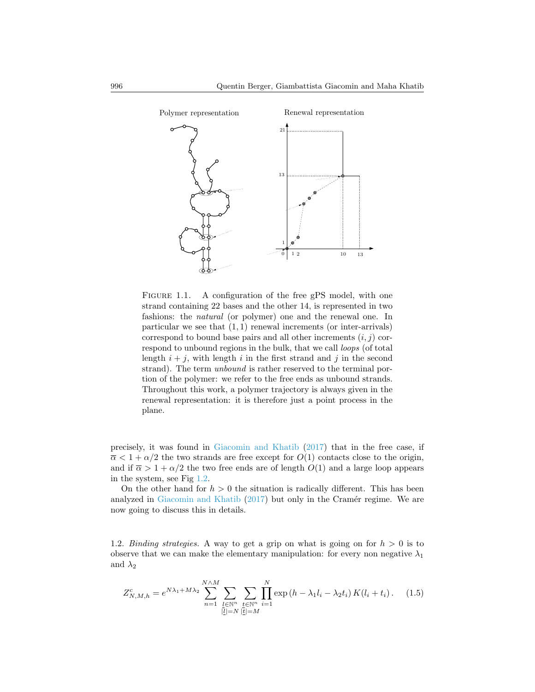

<span id="page-3-0"></span>FIGURE 1.1. A configuration of the free gPS model, with one strand containing 22 bases and the other 14, is represented in two fashions: the natural (or polymer) one and the renewal one. In particular we see that  $(1, 1)$  renewal increments (or inter-arrivals) correspond to bound base pairs and all other increments  $(i, j)$  correspond to unbound regions in the bulk, that we call *loops* (of total length  $i + j$ , with length i in the first strand and j in the second strand). The term *unbound* is rather reserved to the terminal portion of the polymer: we refer to the free ends as unbound strands. Throughout this work, a polymer trajectory is always given in the renewal representation: it is therefore just a point process in the plane.

precisely, it was found in [Giacomin and Khatib](#page-32-1) [\(2017\)](#page-32-1) that in the free case, if  $\overline{\alpha} < 1 + \alpha/2$  the two strands are free except for  $O(1)$  contacts close to the origin, and if  $\overline{\alpha} > 1 + \alpha/2$  the two free ends are of length  $O(1)$  and a large loop appears in the system, see Fig [1.2.](#page-4-0)

On the other hand for  $h > 0$  the situation is radically different. This has been analyzed in [Giacomin and Khatib](#page-32-1)  $(2017)$  but only in the Cramér regime. We are now going to discuss this in details.

1.2. Binding strategies. A way to get a grip on what is going on for  $h > 0$  is to observe that we can make the elementary manipulation: for every non negative  $\lambda_1$ and  $\lambda_2$ 

$$
Z_{N,M,h}^{c} = e^{N\lambda_1 + M\lambda_2} \sum_{n=1}^{N\wedge M} \sum_{\substack{l \in \mathbb{N}^n \\ |l| = N}} \sum_{\substack{t \in \mathbb{N}^n \\ |t| = M}} \prod_{i=1}^{N} \exp\left(h - \lambda_1 l_i - \lambda_2 t_i\right) K(l_i + t_i). \tag{1.5}
$$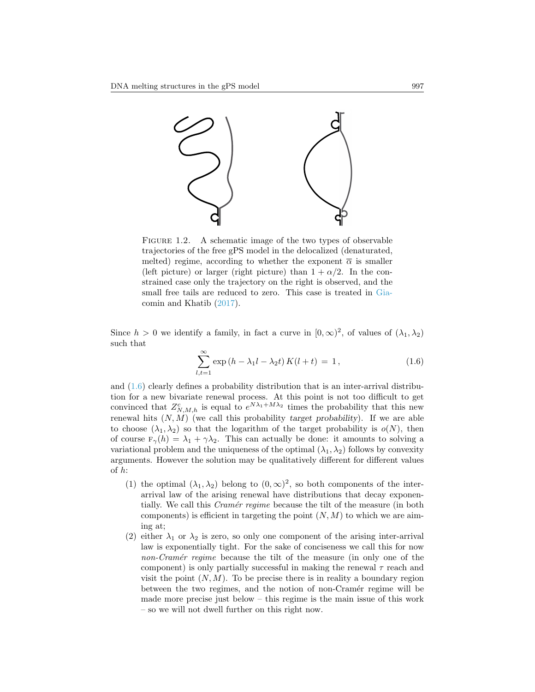

<span id="page-4-0"></span>FIGURE 1.2. A schematic image of the two types of observable trajectories of the free gPS model in the delocalized (denaturated, melted) regime, according to whether the exponent  $\bar{\alpha}$  is smaller (left picture) or larger (right picture) than  $1 + \alpha/2$ . In the constrained case only the trajectory on the right is observed, and the small free tails are reduced to zero. This case is treated in [Gia](#page-32-1)[comin and Khatib](#page-32-1) [\(2017\)](#page-32-1).

Since  $h > 0$  we identify a family, in fact a curve in  $[0, \infty)^2$ , of values of  $(\lambda_1, \lambda_2)$ such that

<span id="page-4-1"></span>
$$
\sum_{l,t=1}^{\infty} \exp(h - \lambda_1 l - \lambda_2 t) K(l+t) = 1, \qquad (1.6)
$$

and  $(1.6)$  clearly defines a probability distribution that is an inter-arrival distribution for a new bivariate renewal process. At this point is not too difficult to get convinced that  $Z_{N,M,h}^c$  is equal to  $e^{N\lambda_1+M\lambda_2}$  times the probability that this new renewal hits  $(N, M)$  (we call this probability target probability). If we are able to choose  $(\lambda_1, \lambda_2)$  so that the logarithm of the target probability is  $o(N)$ , then of course  $F_{\gamma}(h) = \lambda_1 + \gamma \lambda_2$ . This can actually be done: it amounts to solving a variational problem and the uniqueness of the optimal  $(\lambda_1, \lambda_2)$  follows by convexity arguments. However the solution may be qualitatively different for different values of h:

- (1) the optimal  $(\lambda_1, \lambda_2)$  belong to  $(0, \infty)^2$ , so both components of the interarrival law of the arising renewal have distributions that decay exponentially. We call this *Cramér regime* because the tilt of the measure (in both components) is efficient in targeting the point  $(N, M)$  to which we are aiming at;
- (2) either  $\lambda_1$  or  $\lambda_2$  is zero, so only one component of the arising inter-arrival law is exponentially tight. For the sake of conciseness we call this for now non-Cramér regime because the tilt of the measure (in only one of the component) is only partially successful in making the renewal  $\tau$  reach and visit the point  $(N, M)$ . To be precise there is in reality a boundary region between the two regimes, and the notion of non-Cramér regime will be made more precise just below – this regime is the main issue of this work – so we will not dwell further on this right now.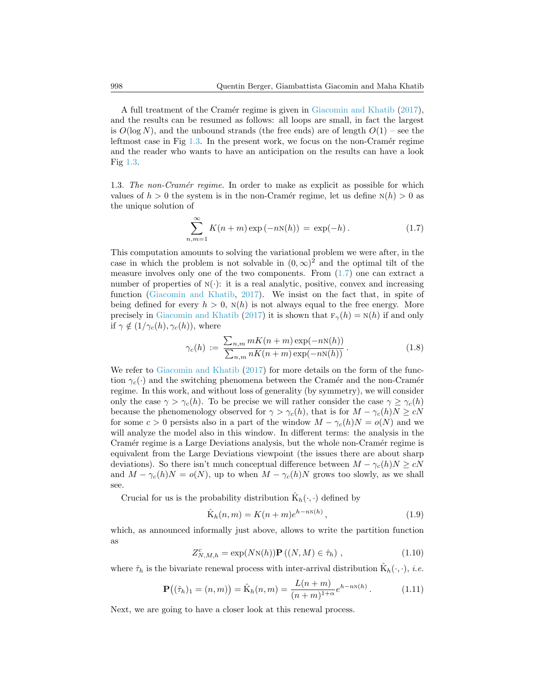A full treatment of the Cramér regime is given in [Giacomin and Khatib](#page-32-1) [\(2017\)](#page-32-1), and the results can be resumed as follows: all loops are small, in fact the largest is  $O(\log N)$ , and the unbound strands (the free ends) are of length  $O(1)$  – see the leftmost case in Fig  $1.3$ . In the present work, we focus on the non-Cramér regime and the reader who wants to have an anticipation on the results can have a look Fig [1.3.](#page-8-0)

1.3. The non-Cramér regime. In order to make as explicit as possible for which values of  $h > 0$  the system is in the non-Cramér regime, let us define  $N(h) > 0$  as the unique solution of

<span id="page-5-0"></span>
$$
\sum_{n,m=1}^{\infty} K(n+m) \exp(-nN(h)) = \exp(-h).
$$
 (1.7)

This computation amounts to solving the variational problem we were after, in the case in which the problem is not solvable in  $(0, \infty)^2$  and the optimal tilt of the measure involves only one of the two components. From  $(1.7)$  one can extract a number of properties of  $N(\cdot)$ : it is a real analytic, positive, convex and increasing function [\(Giacomin and Khatib,](#page-32-1) [2017\)](#page-32-1). We insist on the fact that, in spite of being defined for every  $h > 0$ ,  $N(h)$  is not always equal to the free energy. More precisely in [Giacomin and Khatib](#page-32-1) [\(2017\)](#page-32-1) it is shown that  $F_\gamma(h) = N(h)$  if and only if  $\gamma \notin (1/\gamma_c(h), \gamma_c(h))$ , where

<span id="page-5-2"></span>
$$
\gamma_c(h) := \frac{\sum_{n,m} mK(n+m) \exp(-nN(h))}{\sum_{n,m} nK(n+m) \exp(-nN(h))}.
$$
\n(1.8)

We refer to [Giacomin and Khatib](#page-32-1) [\(2017\)](#page-32-1) for more details on the form of the function  $\gamma_c(\cdot)$  and the switching phenomena between the Cramér and the non-Cramér regime. In this work, and without loss of generality (by symmetry), we will consider only the case  $\gamma > \gamma_c(h)$ . To be precise we will rather consider the case  $\gamma \geq \gamma_c(h)$ because the phenomenology observed for  $\gamma > \gamma_c(h)$ , that is for  $M - \gamma_c(h)N \geq cN$ for some  $c > 0$  persists also in a part of the window  $M - \gamma_c(h)N = o(N)$  and we will analyze the model also in this window. In different terms: the analysis in the Cramér regime is a Large Deviations analysis, but the whole non-Cramér regime is equivalent from the Large Deviations viewpoint (the issues there are about sharp deviations). So there isn't much conceptual difference between  $M - \gamma_c(h)N \geq cN$ and  $M - \gamma_c(h)N = o(N)$ , up to when  $M - \gamma_c(h)N$  grows too slowly, as we shall see.

Crucial for us is the probability distribution  $\hat{\mathbf{K}}_h(\cdot,\cdot)$  defined by

$$
\hat{\mathbf{K}}_h(n,m) = K(n+m)e^{h-n\mathbf{N}(h)},
$$
\n(1.9)

which, as announced informally just above, allows to write the partition function as

<span id="page-5-3"></span>
$$
Z_{N,M,h}^c = \exp(N\mathrm{N}(h))\mathbf{P}((N,M) \in \hat{\tau}_h), \qquad (1.10)
$$

where  $\hat{\tau}_h$  is the bivariate renewal process with inter-arrival distribution  $\hat{K}_h(\cdot, \cdot)$ , *i.e.* 

<span id="page-5-1"></span>
$$
\mathbf{P}((\hat{\tau}_h)_1 = (n, m)) = \hat{\mathbf{K}}_h(n, m) = \frac{L(n + m)}{(n + m)^{1 + \alpha}} e^{h - nN(h)}.
$$
 (1.11)

Next, we are going to have a closer look at this renewal process.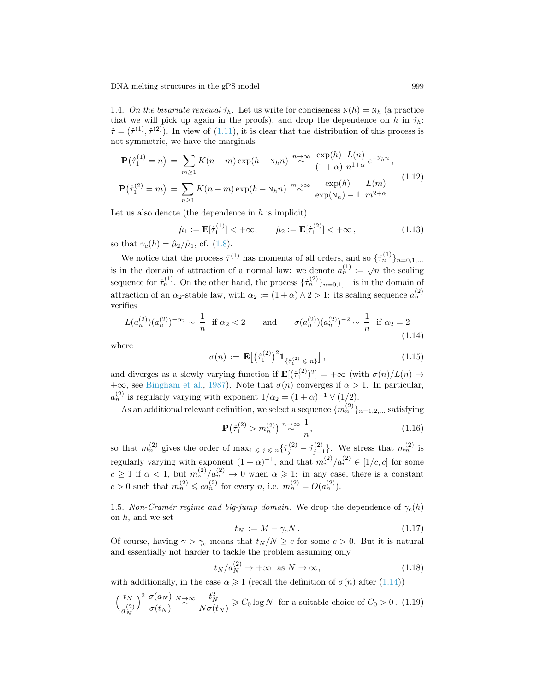1.4. On the bivariate renewal  $\hat{\tau}_h$ . Let us write for conciseness  $N(h) = N_h$  (a practice that we will pick up again in the proofs), and drop the dependence on h in  $\hat{\tau}_h$ :  $\hat{\tau} = (\hat{\tau}^{(1)}, \hat{\tau}^{(2)})$ . In view of  $(1.11)$ , it is clear that the distribution of this process is not symmetric, we have the marginals

<span id="page-6-3"></span>
$$
\mathbf{P}(\hat{\tau}_1^{(1)} = n) = \sum_{m \ge 1} K(n+m) \exp(h - N_h n)^{-n} \approx \frac{\exp(h)}{(1+\alpha)} \frac{L(n)}{n^{1+\alpha}} e^{-N_h n},
$$
  

$$
\mathbf{P}(\hat{\tau}_1^{(2)} = m) = \sum_{n \ge 1} K(n+m) \exp(h - N_h n)^{-m} \approx \frac{\exp(h)}{\exp(N_h) - 1} \frac{L(m)}{m^{2+\alpha}}.
$$
 (1.12)

Let us also denote (the dependence in  $h$  is implicit)

$$
\hat{\mu}_1 := \mathbf{E}[\hat{\tau}_1^{(1)}] < +\infty, \qquad \hat{\mu}_2 := \mathbf{E}[\hat{\tau}_1^{(2)}] < +\infty,\tag{1.13}
$$

so that  $\gamma_c(h) = \hat{\mu}_2/\hat{\mu}_1$ , cf. [\(1.8\)](#page-5-2).

We notice that the process  $\hat{\tau}^{(1)}$  has moments of all orders, and so  $\{\hat{\tau}_n^{(1)}\}_{n=0,1,...}$ is in the domain of attraction of a normal law: we denote  $a_n^{(1)} := \sqrt{n}$  the scaling sequence for  $\hat{\tau}_n^{(1)}$ . On the other hand, the process  $\{\hat{\tau}_n^{(2)}\}_{n=0,1,...}$  is in the domain of attraction of an  $\alpha_2$ -stable law, with  $\alpha_2 := (1 + \alpha) \wedge 2 > 1$ : its scaling sequence  $a_n^{(2)}$ verifies

<span id="page-6-0"></span>
$$
L(a_n^{(2)})(a_n^{(2)})^{-\alpha_2} \sim \frac{1}{n} \text{ if } \alpha_2 < 2 \quad \text{and} \quad \sigma(a_n^{(2)})(a_n^{(2)})^{-2} \sim \frac{1}{n} \text{ if } \alpha_2 = 2
$$
\n(1.14)

where

$$
\sigma(n) := \mathbf{E}\big[\big(\hat{\tau}_1^{(2)}\big)^2 \mathbf{1}_{\{\hat{\tau}_1^{(2)} \leq n\}}\big],\tag{1.15}
$$

and diverges as a slowly varying function if  $\mathbf{E}[(\hat{\tau}_1^{(2)})^2] = +\infty$  (with  $\sigma(n)/L(n) \to$  $+\infty$ , see [Bingham et al.,](#page-31-3) [1987\)](#page-31-3). Note that  $\sigma(n)$  converges if  $\alpha > 1$ . In particular,  $a_n^{(2)}$  is regularly varying with exponent  $1/\alpha_2 = (1+\alpha)^{-1} \vee (1/2)$ .

As an additional relevant definition, we select a sequence  $\{m_n^{(2)}\}_{n=1,2,...}$  satisfying

<span id="page-6-5"></span>
$$
\mathbf{P}\left(\hat{\tau}_1^{(2)} > m_n^{(2)}\right) \stackrel{n \to \infty}{\sim} \frac{1}{n},\tag{1.16}
$$

so that  $m_n^{(2)}$  gives the order of  $\max_{1 \leq j \leq n} {\{\hat{\tau}_j^{(2)} - \hat{\tau}_{j-1}^{(2)}\}}$ . We stress that  $m_n^{(2)}$  is regularly varying with exponent  $(1 + \alpha)^{-1}$ , and that  $m_n^{(2)}/a_n^{(2)} \in [1/c, c]$  for some  $c \geq 1$  if  $\alpha < 1$ , but  $m_n^{(2)}/a_n^{(2)} \to 0$  when  $\alpha \geq 1$ : in any case, there is a constant  $c > 0$  such that  $m_n^{(2)} \leq c a_n^{(2)}$  for every n, i.e.  $m_n^{(2)} = O(a_n^{(2)})$ .

<span id="page-6-4"></span>1.5. Non-Cramér regime and big-jump domain. We drop the dependence of  $\gamma_c(h)$ on  $h$ , and we set

$$
t_N := M - \gamma_c N. \tag{1.17}
$$

Of course, having  $\gamma > \gamma_c$  means that  $t_N/N \geq c$  for some  $c > 0$ . But it is natural and essentially not harder to tackle the problem assuming only

<span id="page-6-2"></span>
$$
t_N/a_N^{(2)} \to +\infty \quad \text{as } N \to \infty,\tag{1.18}
$$

with additionally, in the case  $\alpha \geq 1$  (recall the definition of  $\sigma(n)$  after [\(1.14\)](#page-6-0))

<span id="page-6-1"></span>
$$
\left(\frac{t_N}{a_N^{(2)}}\right)^2 \frac{\sigma(a_N)}{\sigma(t_N)} \stackrel{N \to \infty}{\sim} \frac{t_N^2}{N\sigma(t_N)} \ge C_0 \log N \text{ for a suitable choice of } C_0 > 0. \tag{1.19}
$$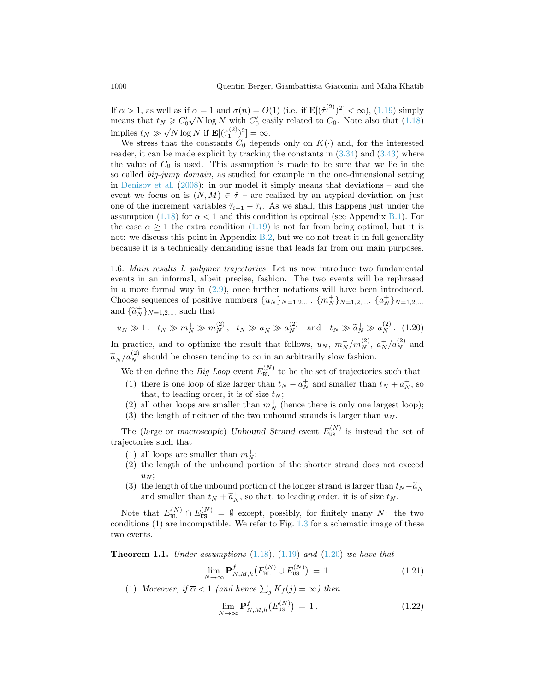If  $\alpha > 1$ , as well as if  $\alpha = 1$  and  $\sigma(n) = O(1)$  (i.e. if  $\mathbf{E}[(\hat{\tau}_1^{(2)})^2] < \infty$ ), [\(1.19\)](#page-6-1) simply means that  $t_N \geqslant C_0' \sqrt{N \log N}$  with  $C_0'$  easily related to  $C_0$ . Note also that [\(1.18\)](#page-6-2) implies  $t_N \gg \sqrt{N \log N}$  if  $\mathbf{E}[(\hat{\tau}_1^{(2)})^2] = \infty$ .

We stress that the constants  $C_0$  depends only on  $K(\cdot)$  and, for the interested reader, it can be made explicit by tracking the constants in  $(3.34)$  and  $(3.43)$  where the value of  $C_0$  is used. This assumption is made to be sure that we lie in the so called big-jump domain, as studied for example in the one-dimensional setting in [Denisov et al.](#page-31-2) [\(2008\)](#page-31-2): in our model it simply means that deviations – and the event we focus on is  $(N, M) \in \hat{\tau}$  – are realized by an atypical deviation on just one of the increment variables  $\hat{\tau}_{i+1} - \hat{\tau}_i$ . As we shall, this happens just under the assumption [\(1.18\)](#page-6-2) for  $\alpha < 1$  and this condition is optimal (see Appendix [B.1\)](#page-29-0). For the case  $\alpha \geq 1$  the extra condition [\(1.19\)](#page-6-1) is not far from being optimal, but it is not: we discuss this point in Appendix  $B.2$ , but we do not treat it in full generality because it is a technically demanding issue that leads far from our main purposes.

1.6. Main results I: polymer trajectories. Let us now introduce two fundamental events in an informal, albeit precise, fashion. The two events will be rephrased in a more formal way in [\(2.9\)](#page-11-0), once further notations will have been introduced. Choose sequences of positive numbers  $\{u_N\}_{N=1,2,...}$ ,  $\{m_N^+\}_{N=1,2,...}$ ,  $\{a_N^+\}_{N=1,2,...}$ and  $\{\widetilde{a}_N^+\}_{N=1,2,\dots}$  such that

<span id="page-7-0"></span>
$$
u_N \gg 1
$$
,  $t_N \gg m_N^+ \gg m_N^{(2)}$ ,  $t_N \gg a_N^+ \gg a_N^{(2)}$  and  $t_N \gg \tilde{a}_N^+ \gg a_N^{(2)}$ . (1.20)

In practice, and to optimize the result that follows,  $u_N$ ,  $m_N^+/m_N^{(2)}$ ,  $a_N^+/a_N^{(2)}$  and  $\tilde{a}^+_{N}/a^{\left(2\right)}_{N}$  should be chosen tending to  $\infty$  in an arbitrarily slow fashion.

We then define the *Big Loop* event  $E_{BL}^{(N)}$  to be the set of trajectories such that

- (1) there is one loop of size larger than  $t_N a_N^+$  and smaller than  $t_N + a_N^+$ , so that, to leading order, it is of size  $t_N$ ;
- (2) all other loops are smaller than  $m_N^+$  (hence there is only one largest loop);
- (3) the length of neither of the two unbound strands is larger than  $u_N$ .

The (large or macroscopic) Unbound Strand event  $E_{\text{US}}^{(N)}$  is instead the set of trajectories such that

- (1) all loops are smaller than  $m_N^+$ ;
- (2) the length of the unbound portion of the shorter strand does not exceed  $u_N$ ;
- (3) the length of the unbound portion of the longer strand is larger than  $t_N \tilde{a}_N^+$ and smaller than  $t_N + \tilde{a}_N^+$ , so that, to leading order, it is of size  $t_N$ .

Note that  $E_{BL}^{(N)} \cap E_{US}^{(N)} = \emptyset$  except, possibly, for finitely many N: the two conditions (1) are incompatible. We refer to Fig. [1.3](#page-8-0) for a schematic image of these two events.

<span id="page-7-1"></span>**Theorem 1.1.** Under assumptions  $(1.18)$ ,  $(1.19)$  and  $(1.20)$  we have that

$$
\lim_{N \to \infty} \mathbf{P}_{N,M,h}^{f}\big(E_{\text{BL}}^{(N)} \cup E_{\text{US}}^{(N)}\big) = 1. \tag{1.21}
$$

(1) Moreover, if  $\overline{\alpha} < 1$  (and hence  $\sum_j K_j(j) = \infty$ ) then

$$
\lim_{N \to \infty} \mathbf{P}_{N,M,h}^{f}\big(E_{\text{US}}^{(N)}\big) = 1. \tag{1.22}
$$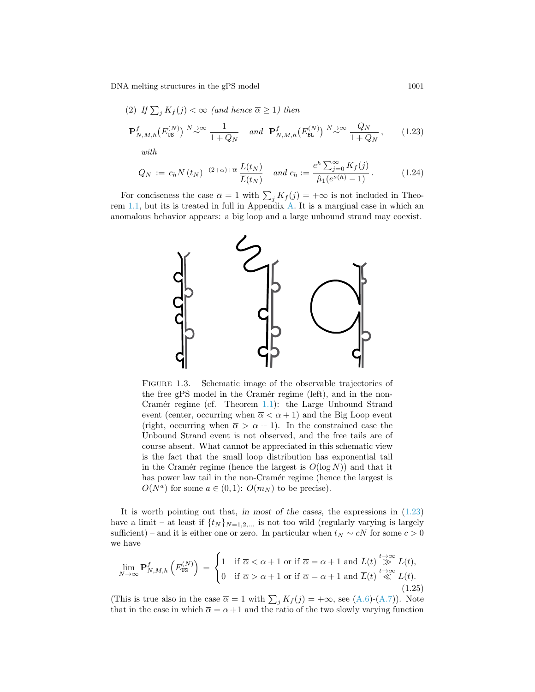<span id="page-8-1"></span>(2) If 
$$
\sum_{j} K_{f}(j) < \infty
$$
 (and hence  $\overline{\alpha} \ge 1$ ) then  
\n
$$
\mathbf{P}_{N,M,h}^{f}(E_{\text{US}}^{(N)}) \stackrel{N \to \infty}{\sim} \frac{1}{1 + Q_{N}} \text{ and } \mathbf{P}_{N,M,h}^{f}(E_{\text{BL}}^{(N)}) \stackrel{N \to \infty}{\sim} \frac{Q_{N}}{1 + Q_{N}}, \qquad (1.23)
$$
\nwith

$$
Q_N := c_h N(t_N)^{-(2+\alpha)+\overline{\alpha}} \frac{L(t_N)}{\overline{L}(t_N)} \quad \text{and } c_h := \frac{e^h \sum_{j=0}^{\infty} K_f(j)}{\hat{\mu}_1(e^{N(h)} - 1)}.
$$
 (1.24)

For conciseness the case  $\overline{\alpha} = 1$  with  $\sum_j K_j(j) = +\infty$  is not included in Theorem [1.1,](#page-7-1) but its is treated in full in Appendix [A.](#page-27-0) It is a marginal case in which an anomalous behavior appears: a big loop and a large unbound strand may coexist.



<span id="page-8-0"></span>FIGURE 1.3. Schematic image of the observable trajectories of the free gPS model in the Cramér regime (left), and in the non-Cramér regime (cf. Theorem [1.1\)](#page-7-1): the Large Unbound Strand event (center, occurring when  $\overline{\alpha} < \alpha + 1$ ) and the Big Loop event (right, occurring when  $\overline{\alpha} > \alpha + 1$ ). In the constrained case the Unbound Strand event is not observed, and the free tails are of course absent. What cannot be appreciated in this schematic view is the fact that the small loop distribution has exponential tail in the Cramér regime (hence the largest is  $O(log N)$ ) and that it has power law tail in the non-Cramér regime (hence the largest is  $O(N^a)$  for some  $a \in (0,1)$ :  $O(m_N)$  to be precise).

It is worth pointing out that, in most of the cases, the expressions in  $(1.23)$ have a limit – at least if  $\{t_N\}_{N=1,2,...}$  is not too wild (regularly varying is largely sufficient) – and it is either one or zero. In particular when  $t_N \sim cN$  for some  $c > 0$ we have

$$
\lim_{N \to \infty} \mathbf{P}_{N,M,h}^{f}\left(E_{\text{US}}^{(N)}\right) = \begin{cases} 1 & \text{if } \overline{\alpha} < \alpha + 1 \text{ or if } \overline{\alpha} = \alpha + 1 \text{ and } \overline{L}(t) \stackrel{t \to \infty}{\gg} L(t), \\ 0 & \text{if } \overline{\alpha} > \alpha + 1 \text{ or if } \overline{\alpha} = \alpha + 1 \text{ and } \overline{L}(t) \stackrel{t \to \infty}{\ll} L(t). \end{cases} \tag{1.25}
$$

(This is true also in the case  $\overline{\alpha} = 1$  with  $\sum_j K_j(j) = +\infty$ , see [\(A.6\)](#page-27-1)-[\(A.7\)](#page-27-2)). Note that in the case in which  $\bar{\alpha} = \alpha + 1$  and the ratio of the two slowly varying function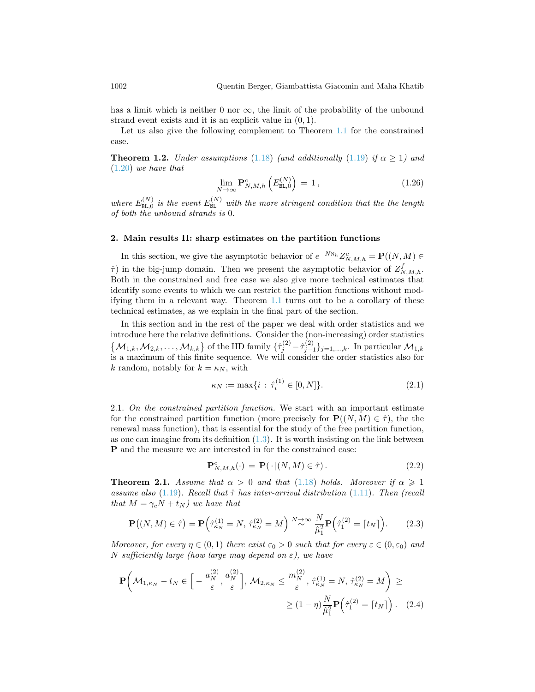has a limit which is neither 0 nor  $\infty$ , the limit of the probability of the unbound strand event exists and it is an explicit value in  $(0, 1)$ .

Let us also give the following complement to Theorem [1.1](#page-7-1) for the constrained case.

<span id="page-9-0"></span>**Theorem 1.2.** Under assumptions [\(1.18\)](#page-6-2) (and additionally [\(1.19\)](#page-6-1) if  $\alpha \ge 1$ ) and [\(1.20\)](#page-7-0) we have that

$$
\lim_{N \to \infty} \mathbf{P}_{N,M,h}^c \left( E_{\text{BL},0}^{(N)} \right) = 1, \qquad (1.26)
$$

where  $E_{\text{BL},0}^{(N)}$  is the event  $E_{\text{BL}}^{(N)}$  with the more stringent condition that the the length of both the unbound strands is 0.

# 2. Main results II: sharp estimates on the partition functions

In this section, we give the asymptotic behavior of  $e^{-N_{N_h}}Z_{N,M,h}^c = \mathbf{P}((N,M) \in$  $\hat{\tau}$ ) in the big-jump domain. Then we present the asymptotic behavior of  $Z_{N,M,h}^f$ . Both in the constrained and free case we also give more technical estimates that identify some events to which we can restrict the partition functions without modifying them in a relevant way. Theorem [1.1](#page-7-1) turns out to be a corollary of these technical estimates, as we explain in the final part of the section.

In this section and in the rest of the paper we deal with order statistics and we introduce here the relative definitions. Consider the (non-increasing) order statistics  $\{\mathcal{M}_{1,k}, \mathcal{M}_{2,k}, \ldots, \mathcal{M}_{k,k}\}\$  of the IID family  $\{\hat{\tau}_j^{(2)} - \hat{\tau}_{j-1}^{(2)}\}_{j=1,\ldots,k}$ . In particular  $\mathcal{M}_{1,k}$ is a maximum of this finite sequence. We will consider the order statistics also for k random, notably for  $k = \kappa_N$ , with

$$
\kappa_N := \max\{i \,:\, \hat{\tau}_i^{(1)} \in [0, N]\}.
$$
\n(2.1)

2.1. On the constrained partition function. We start with an important estimate for the constrained partition function (more precisely for  $\mathbf{P}((N, M) \in \hat{\tau})$ , the the renewal mass function), that is essential for the study of the free partition function, as one can imagine from its definition  $(1.3)$ . It is worth insisting on the link between P and the measure we are interested in for the constrained case:

<span id="page-9-2"></span>
$$
\mathbf{P}_{N,M,h}^{c}(\cdot) = \mathbf{P}(\cdot | (N,M) \in \hat{\tau}). \tag{2.2}
$$

<span id="page-9-1"></span>**Theorem 2.1.** Assume that  $\alpha > 0$  and that [\(1.18\)](#page-6-2) holds. Moreover if  $\alpha \geq 1$ assume also [\(1.19\)](#page-6-1). Recall that  $\hat{\tau}$  has inter-arrival distribution [\(1.11\)](#page-5-1). Then (recall that  $M = \gamma_c N + t_N$ ) we have that

<span id="page-9-3"></span>
$$
\mathbf{P}((N,M) \in \hat{\tau}) = \mathbf{P}\left(\hat{\tau}_{\kappa_N}^{(1)} = N, \ \hat{\tau}_{\kappa_N}^{(2)} = M\right) \stackrel{N \to \infty}{\sim} \frac{N}{\hat{\mu}_1^2} \mathbf{P}\left(\hat{\tau}_1^{(2)} = [t_N]\right). \tag{2.3}
$$

Moreover, for every  $\eta \in (0,1)$  there exist  $\varepsilon_0 > 0$  such that for every  $\varepsilon \in (0,\varepsilon_0)$  and N sufficiently large (how large may depend on  $\varepsilon$ ), we have

$$
\mathbf{P}\left(\mathcal{M}_{1,\kappa_N} - t_N \in \left[ -\frac{a_N^{(2)}}{\varepsilon}, \frac{a_N^{(2)}}{\varepsilon} \right], \, \mathcal{M}_{2,\kappa_N} \le \frac{m_N^{(2)}}{\varepsilon}, \, \hat{\tau}_{\kappa_N}^{(1)} = N, \, \hat{\tau}_{\kappa_N}^{(2)} = M \right) \ge
$$
\n
$$
\ge (1 - \eta) \frac{N}{\hat{\mu}_1^2} \mathbf{P}\left(\hat{\tau}_1^{(2)} = \lceil t_N \rceil\right). \tag{2.4}
$$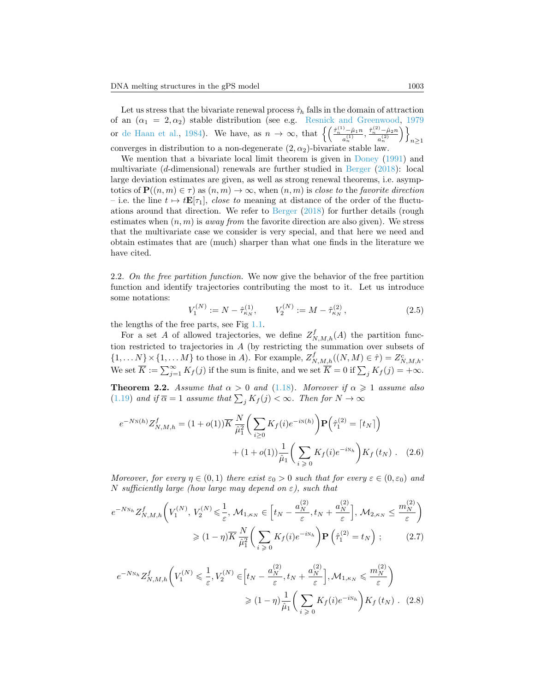Let us stress that the bivariate renewal process  $\hat{\tau}_h$  falls in the domain of attraction of an  $(\alpha_1 = 2, \alpha_2)$  stable distribution (see e.g. [Resnick and Greenwood,](#page-32-8) [1979](#page-32-8)) or [de Haan et al.,](#page-32-9) [1984\)](#page-32-9). We have, as  $n \to \infty$ , that  $\left\{ \left( \frac{\hat{\tau}_n^{(1)} - \hat{\mu}_1 n}{a_n^{(1)}} \right)$  $\frac{\hat{\mu}_1(n)}{a_n^{(1)}}, \frac{\hat{\tau}_n^{(2)} - \hat{\mu}_2 n}{a_n^{(2)}}$  $a_n^{(2)}$  $\setminus$  $n\geq 1$ converges in distribution to a non-degenerate  $(2, \alpha_2)$ -bivariate stable law.

We mention that a bivariate local limit theorem is given in [Doney](#page-32-10)  $(1991)$  and multivariate (d-dimensional) renewals are further studied in [Berger](#page-31-4) [\(2018\)](#page-31-4): local large deviation estimates are given, as well as strong renewal theorems, i.e. asymptotics of  $\mathbf{P}((n,m) \in \tau)$  as  $(n,m) \to \infty$ , when  $(n,m)$  is close to the favorite direction – i.e. the line  $t \mapsto t\mathbf{E}[\tau_1]$ , close to meaning at distance of the order of the fluctuations around that direction. We refer to [Berger](#page-31-4) [\(2018\)](#page-31-4) for further details (rough estimates when  $(n, m)$  is *away from* the favorite direction are also given). We stress that the multivariate case we consider is very special, and that here we need and obtain estimates that are (much) sharper than what one finds in the literature we have cited.

2.2. On the free partition function. We now give the behavior of the free partition function and identify trajectories contributing the most to it. Let us introduce some notations:

<span id="page-10-0"></span>
$$
V_1^{(N)} := N - \hat{\tau}_{\kappa_N}^{(1)}, \qquad V_2^{(N)} := M - \hat{\tau}_{\kappa_N}^{(2)}, \tag{2.5}
$$

the lengths of the free parts, see Fig [1.1.](#page-3-0)

For a set A of allowed trajectories, we define  $Z_{N,M,h}^f(A)$  the partition function restricted to trajectories in A (by restricting the summation over subsets of  $\{1,\ldots N\}\times\{1,\ldots M\}$  to those in A). For example,  $Z_{N,M,h}^f((N,M)\in\hat{\tau})=Z_{N,M,h}^c$ . We set  $\overline{K} := \sum_{j=1}^{\infty} K_f(j)$  if the sum is finite, and we set  $\overline{K} = 0$  if  $\sum_j K_j(j) = +\infty$ .

<span id="page-10-2"></span>**Theorem 2.2.** Assume that  $\alpha > 0$  and [\(1.18\)](#page-6-2). Moreover if  $\alpha \ge 1$  assume also [\(1.19\)](#page-6-1) and if  $\overline{\alpha} = 1$  assume that  $\sum_j K_j(j) < \infty$ . Then for  $N \to \infty$ 

$$
e^{-N\mathcal{N}(h)}Z_{N,M,h}^f = (1+o(1))\overline{K}\frac{N}{\hat{\mu}_1^2} \bigg(\sum_{i\geq 0} K_f(i)e^{-i\mathcal{N}(h)}\bigg)\mathbf{P}\Big(\hat{\tau}_1^{(2)} = \lceil t_N \rceil\Big) + (1+o(1))\frac{1}{\hat{\mu}_1} \bigg(\sum_{i\geq 0} K_f(i)e^{-i\mathcal{N}_h}\bigg)K_f(t_N) .
$$
 (2.6)

Moreover, for every  $\eta \in (0,1)$  there exist  $\varepsilon_0 > 0$  such that for every  $\varepsilon \in (0,\varepsilon_0)$  and N sufficiently large (how large may depend on  $\varepsilon$ ), such that

$$
e^{-N\mathcal{N}_h} Z_{N,M,h}^f\bigg(V_1^{(N)}, V_2^{(N)} \leq \frac{1}{\varepsilon}, \mathcal{M}_{1,\kappa_N} \in \left[t_N - \frac{a_N^{(2)}}{\varepsilon}, t_N + \frac{a_N^{(2)}}{\varepsilon}\right], \mathcal{M}_{2,\kappa_N} \leq \frac{m_N^{(2)}}{\varepsilon}\bigg)
$$

$$
\geq (1-\eta)\overline{K}\frac{N}{\hat{\mu}_1^2}\bigg(\sum_{i\geqslant 0} K_f(i)e^{-i\mathcal{N}_h}\bigg)\mathbf{P}\left(\hat{\tau}_1^{(2)} = t_N\right); \tag{2.7}
$$

<span id="page-10-3"></span><span id="page-10-1"></span>
$$
e^{-N\mathcal{N}_h} Z^f_{N,M,h} \bigg( V_1^{(N)} \leq \frac{1}{\varepsilon}, V_2^{(N)} \in \left[ t_N - \frac{a_N^{(2)}}{\varepsilon}, t_N + \frac{a_N^{(2)}}{\varepsilon} \right], \mathcal{M}_{1,\kappa_N} \leq \frac{m_N^{(2)}}{\varepsilon} \bigg)
$$

$$
\geq (1 - \eta) \frac{1}{\hat{\mu}_1} \bigg( \sum_{i \geq 0} K_f(i) e^{-i\mathcal{N}_h} \bigg) K_f(t_N) \qquad (2.8)
$$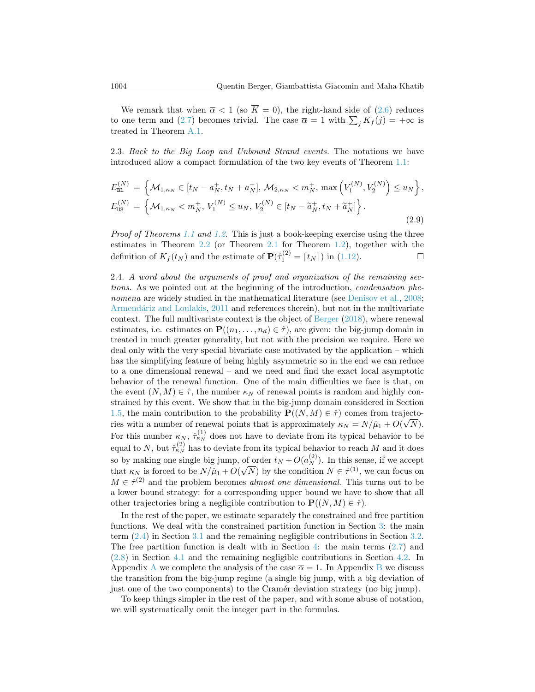We remark that when  $\overline{\alpha} < 1$  (so  $\overline{K} = 0$ ), the right-hand side of [\(2.6\)](#page-10-0) reduces to one term and [\(2.7\)](#page-10-1) becomes trivial. The case  $\overline{\alpha} = 1$  with  $\sum_j K_j(j) = +\infty$  is treated in Theorem [A.1.](#page-27-3)

2.3. Back to the Big Loop and Unbound Strand events. The notations we have introduced allow a compact formulation of the two key events of Theorem [1.1:](#page-7-1)

<span id="page-11-0"></span>
$$
E_{BL}^{(N)} = \left\{ \mathcal{M}_{1,\kappa_N} \in [t_N - a_N^+, t_N + a_N^+], \, \mathcal{M}_{2,\kappa_N} < m_N^+, \, \max\left( V_1^{(N)}, V_2^{(N)} \right) \le u_N \right\},
$$
\n
$$
E_{US}^{(N)} = \left\{ \mathcal{M}_{1,\kappa_N} < m_N^+, \, V_1^{(N)} \le u_N, \, V_2^{(N)} \in [t_N - \tilde{a}_N^+, t_N + \tilde{a}_N^+] \right\}.
$$
\n
$$
(2.9)
$$

Proof of Theorems [1.1](#page-7-1) and [1.2.](#page-9-0) This is just a book-keeping exercise using the three estimates in Theorem [2.2](#page-10-2) (or Theorem [2.1](#page-9-1) for Theorem [1.2\)](#page-9-0), together with the definition of  $K_f(t_N)$  and the estimate of  $\mathbf{P}(\hat{\tau}_1^{(2)} = [t_N])$  in [\(1.12\)](#page-6-3).

2.4. A word about the arguments of proof and organization of the remaining sections. As we pointed out at the beginning of the introduction, condensation phe-nomena are widely studied in the mathematical literature (see [Denisov et al.,](#page-31-2) [2008;](#page-31-2) Armendáriz and Loulakis, [2011](#page-31-1) and references therein), but not in the multivariate context. The full multivariate context is the object of [Berger](#page-31-4) [\(2018\)](#page-31-4), where renewal estimates, i.e. estimates on  $\mathbf{P}((n_1,\ldots,n_d)\in\hat{\tau})$ , are given: the big-jump domain in treated in much greater generality, but not with the precision we require. Here we deal only with the very special bivariate case motivated by the application – which has the simplifying feature of being highly asymmetric so in the end we can reduce to a one dimensional renewal – and we need and find the exact local asymptotic behavior of the renewal function. One of the main difficulties we face is that, on the event  $(N, M) \in \hat{\tau}$ , the number  $\kappa_N$  of renewal points is random and highly constrained by this event. We show that in the big-jump domain considered in Section [1.5,](#page-6-4) the main contribution to the probability  $\mathbf{P}((N, M) \in \hat{\tau})$  comes from trajectories with a number of renewal points that is approximately  $\kappa_N = N/\hat{\mu}_1 + O(\sqrt{N})$ . For this number  $\kappa_N$ ,  $\hat{\tau}_{\kappa_N}^{(1)}$  does not have to deviate from its typical behavior to be equal to N, but  $\hat{\tau}_{\kappa_N}^{(2)}$  has to deviate from its typical behavior to reach M and it does so by making one single big jump, of order  $t_N + O(a_N^{(2)})$ . In this sense, if we accept that  $\kappa_N$  is forced to be  $N/\hat{\mu}_1 + O(\sqrt{N})$  by the condition  $N \in \hat{\tau}^{(1)}$ , we can focus on  $M \in \hat{\tau}^{(2)}$  and the problem becomes *almost one dimensional*. This turns out to be a lower bound strategy: for a corresponding upper bound we have to show that all other trajectories bring a negligible contribution to  $\mathbf{P}((N, M) \in \hat{\tau})$ .

In the rest of the paper, we estimate separately the constrained and free partition functions. We deal with the constrained partition function in Section [3:](#page-12-0) the main term [\(2.4\)](#page-9-2) in Section [3.1](#page-12-1) and the remaining negligible contributions in Section [3.2.](#page-15-0) The free partition function is dealt with in Section [4:](#page-20-0) the main terms  $(2.7)$  and [\(2.8\)](#page-10-3) in Section [4.1](#page-20-1) and the remaining negligible contributions in Section [4.2.](#page-23-0) In [A](#page-27-0)ppendix A we complete the analysis of the case  $\overline{\alpha} = 1$ . In Appendix [B](#page-28-0) we discuss the transition from the big-jump regime (a single big jump, with a big deviation of just one of the two components) to the Cramér deviation strategy (no big jump).

To keep things simpler in the rest of the paper, and with some abuse of notation, we will systematically omit the integer part in the formulas.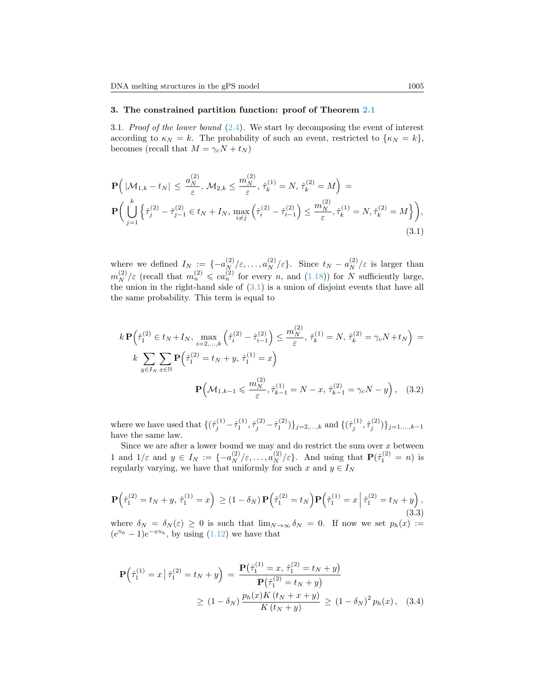## <span id="page-12-0"></span>3. The constrained partition function: proof of Theorem [2.1](#page-9-1)

<span id="page-12-1"></span>3.1. Proof of the lower bound  $(2.4)$ . We start by decomposing the event of interest according to  $\kappa_N = k$ . The probability of such an event, restricted to  $\{\kappa_N = k\},\$ becomes (recall that  $M = \gamma_c N + t_N$ )

<span id="page-12-2"></span>
$$
\mathbf{P}\Big(|\mathcal{M}_{1,k} - t_N| \le \frac{a_N^{(2)}}{\varepsilon}, \mathcal{M}_{2,k} \le \frac{m_N^{(2)}}{\varepsilon}, \hat{\tau}_k^{(1)} = N, \hat{\tau}_k^{(2)} = M\Big) =
$$
\n
$$
\mathbf{P}\Big(\bigcup_{j=1}^k \left\{\hat{\tau}_j^{(2)} - \hat{\tau}_{j-1}^{(2)} \in t_N + I_N, \max_{i \ne j} \left(\hat{\tau}_i^{(2)} - \hat{\tau}_{i-1}^{(2)}\right) \le \frac{m_N^{(2)}}{\varepsilon}, \hat{\tau}_k^{(1)} = N, \hat{\tau}_k^{(2)} = M\right\}\Big),\tag{3.1}
$$

where we defined  $I_N := \{-a_N^{(2)}/\varepsilon, \ldots, a_N^{(2)}/\varepsilon\}.$  Since  $t_N - a_N^{(2)}/\varepsilon$  is larger than  $m_N^{(2)}/\varepsilon$  (recall that  $m_n^{(2)} \leqslant ca_n^{(2)}$  for every n, and [\(1.18\)](#page-6-2)) for N sufficiently large, the union in the right-hand side of [\(3.1\)](#page-12-2) is a union of disjoint events that have all the same probability. This term is equal to

$$
k \mathbf{P} \Big( \hat{\tau}_1^{(2)} \in t_N + I_N, \max_{i=2,\dots,k} \Big( \hat{\tau}_i^{(2)} - \hat{\tau}_{i-1}^{(2)} \Big) \le \frac{m_N^{(2)}}{\varepsilon}, \, \hat{\tau}_k^{(1)} = N, \, \hat{\tau}_k^{(2)} = \gamma_c N + t_N \Big) =
$$
\n
$$
k \sum_{y \in I_N} \sum_{x \in \mathbb{N}} \mathbf{P} \Big( \hat{\tau}_1^{(2)} = t_N + y, \, \hat{\tau}_1^{(1)} = x \Big)
$$
\n
$$
\mathbf{P} \Big( \mathcal{M}_{1,k-1} \le \frac{m_N^{(2)}}{\varepsilon}, \hat{\tau}_{k-1}^{(1)} = N - x, \, \hat{\tau}_{k-1}^{(2)} = \gamma_c N - y \Big), \quad (3.2)
$$

where we have used that  $\{(\hat{\tau}_j^{(1)} - \hat{\tau}_1^{(1)}, \hat{\tau}_j^{(2)} - \hat{\tau}_1^{(2)})\}_{j=2,\ldots,k}$  and  $\{(\hat{\tau}_j^{(1)}, \hat{\tau}_j^{(2)})\}_{j=1,\ldots,k-1}$ have the same law.

Since we are after a lower bound we may and do restrict the sum over  $x$  between 1 and  $1/\varepsilon$  and  $y \in I_N := \{-a_N^{(2)}/\varepsilon, \ldots, a_N^{(2)}/\varepsilon\}$ . And using that  $\mathbf{P}(\hat{\tau}_1^{(2)} = n)$  is regularly varying, we have that uniformly for such x and  $y \in I_N$ 

$$
\mathbf{P}\left(\hat{\tau}_1^{(2)} = t_N + y, \, \hat{\tau}_1^{(1)} = x\right) \ge (1 - \delta_N) \, \mathbf{P}\left(\hat{\tau}_1^{(2)} = t_N\right) \mathbf{P}\left(\hat{\tau}_1^{(1)} = x \, \middle| \, \hat{\tau}_1^{(2)} = t_N + y\right),\tag{3.3}
$$

where  $\delta_N = \delta_N(\varepsilon) \geq 0$  is such that  $\lim_{N\to\infty} \delta_N = 0$ . If now we set  $p_h(x) :=$  $(e^{N_h}-1)e^{-xN_h}$ , by using  $(1.12)$  we have that

$$
\mathbf{P}\left(\hat{\tau}_1^{(1)} = x \mid \hat{\tau}_1^{(2)} = t_N + y\right) = \frac{\mathbf{P}\left(\hat{\tau}_1^{(1)} = x, \ \hat{\tau}_1^{(2)} = t_N + y\right)}{\mathbf{P}\left(\hat{\tau}_1^{(2)} = t_N + y\right)}
$$
\n
$$
\geq (1 - \delta_N) \frac{p_h(x)K(t_N + x + y)}{K(t_N + y)} \geq (1 - \delta_N)^2 p_h(x), \quad (3.4)
$$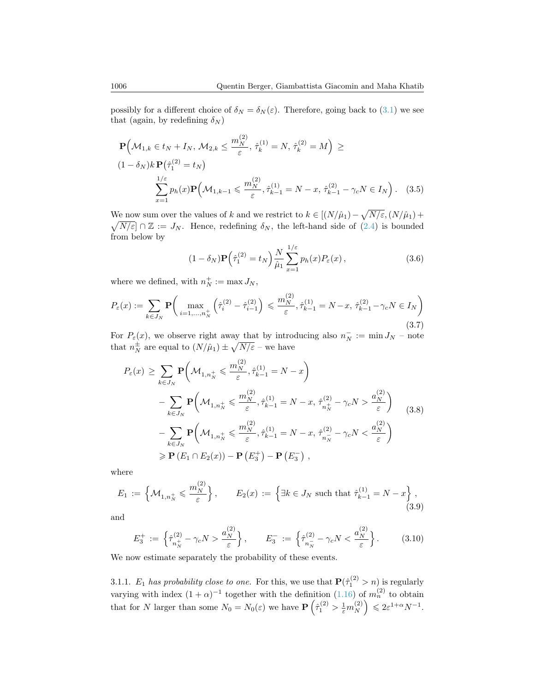possibly for a different choice of  $\delta_N = \delta_N(\varepsilon)$ . Therefore, going back to [\(3.1\)](#page-12-2) we see that (again, by redefining  $\delta_N$ )

$$
\mathbf{P}\Big(\mathcal{M}_{1,k} \in t_N + I_N, \, \mathcal{M}_{2,k} \le \frac{m_N^{(2)}}{\varepsilon}, \, \hat{\tau}_k^{(1)} = N, \, \hat{\tau}_k^{(2)} = M\Big) \ge
$$
\n
$$
(1 - \delta_N)k \, \mathbf{P}\big(\hat{\tau}_1^{(2)} = t_N\big)
$$
\n
$$
\sum_{x=1}^{1/\varepsilon} p_h(x) \mathbf{P}\Big(\mathcal{M}_{1,k-1} \le \frac{m_N^{(2)}}{\varepsilon}, \hat{\tau}_{k-1}^{(1)} = N - x, \, \hat{\tau}_{k-1}^{(2)} - \gamma_c N \in I_N\Big).
$$
\n(3.5)

We now sum over the values of k and we restrict to  $k \in [(N/\hat{\mu}_1) - \sqrt{N/\varepsilon}, (N/\hat{\mu}_1) +$  $\sqrt{N/\varepsilon}$   $\cap \mathbb{Z} := J_N$ . Hence, redefining  $\delta_N$ , the left-hand side of [\(2.4\)](#page-9-2) is bounded from below by

<span id="page-13-0"></span>
$$
(1 - \delta_N) \mathbf{P} \left( \hat{\tau}_1^{(2)} = t_N \right) \frac{N}{\hat{\mu}_1} \sum_{x=1}^{1/\varepsilon} p_h(x) P_{\varepsilon}(x) , \qquad (3.6)
$$

where we defined, with  $n_N^+ := \max J_N$ ,

$$
P_{\varepsilon}(x) := \sum_{k \in J_N} \mathbf{P} \bigg( \max_{i=1,\dots,n_N^+} \left( \hat{\tau}_i^{(2)} - \hat{\tau}_{i-1}^{(2)} \right) \leq \frac{m_N^{(2)}}{\varepsilon}, \hat{\tau}_{k-1}^{(1)} = N - x, \ \hat{\tau}_{k-1}^{(2)} - \gamma_c N \in I_N \bigg)
$$
\n(3.7)

For  $P_{\varepsilon}(x)$ , we observe right away that by introducing also  $n_{N}^{-} := \min J_{N}$  – note that  $n_N^{\pm}$  are equal to  $(N/\hat{\mu}_1) \pm \sqrt{N/\varepsilon}$  – we have

<span id="page-13-1"></span>
$$
P_{\varepsilon}(x) \geq \sum_{k \in J_N} \mathbf{P} \bigg( \mathcal{M}_{1,n_N^+} \leq \frac{m_N^{(2)}}{\varepsilon}, \hat{\tau}_{k-1}^{(1)} = N - x \bigg) - \sum_{k \in J_N} \mathbf{P} \bigg( \mathcal{M}_{1,n_N^+} \leq \frac{m_N^{(2)}}{\varepsilon}, \hat{\tau}_{k-1}^{(1)} = N - x, \hat{\tau}_{n_N^+}^{(2)} - \gamma_c N > \frac{a_N^{(2)}}{\varepsilon} \bigg) - \sum_{k \in J_N} \mathbf{P} \bigg( \mathcal{M}_{1,n_N^+} \leq \frac{m_N^{(2)}}{\varepsilon}, \hat{\tau}_{k-1}^{(1)} = N - x, \hat{\tau}_{n_N^-}^{(2)} - \gamma_c N < \frac{a_N^{(2)}}{\varepsilon} \bigg) \geq \mathbf{P} \left( E_1 \cap E_2(x) \right) - \mathbf{P} \left( E_3^+ \right) - \mathbf{P} \left( E_3^- \right) ,
$$

where

$$
E_1 := \left\{ \mathcal{M}_{1,n_N^+} \leqslant \frac{m_N^{(2)}}{\varepsilon} \right\}, \qquad E_2(x) := \left\{ \exists k \in J_N \text{ such that } \hat{\tau}_{k-1}^{(1)} = N - x \right\},\tag{3.9}
$$

and

$$
E_3^+ := \left\{ \hat{\tau}_{n_N^+}^{(2)} - \gamma_c N > \frac{a_N^{(2)}}{\varepsilon} \right\}, \qquad E_3^- := \left\{ \hat{\tau}_{n_N^-}^{(2)} - \gamma_c N < \frac{a_N^{(2)}}{\varepsilon} \right\}. \tag{3.10}
$$

We now estimate separately the probability of these events.

3.1.1.  $E_1$  has probability close to one. For this, we use that  $\mathbf{P}(\hat{\tau}_1^{(2)} > n)$  is regularly varying with index  $(1 + \alpha)^{-1}$  together with the definition  $(1.16)$  of  $m_n^{(2)}$  to obtain that for N larger than some  $N_0 = N_0(\varepsilon)$  we have  $\mathbf{P}\left(\hat{\tau}_1^{(2)} > \frac{1}{\varepsilon}m_N^{(2)}\right)$  $\binom{2}{N} \leqslant 2\varepsilon^{1+\alpha}N^{-1}.$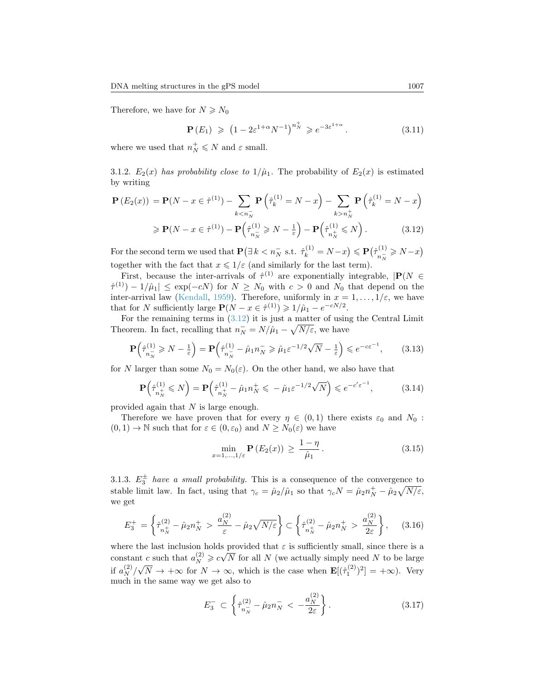Therefore, we have for  $N \ge N_0$ 

<span id="page-14-1"></span><span id="page-14-0"></span>
$$
\mathbf{P}(E_1) \geq (1 - 2\varepsilon^{1+\alpha} N^{-1})^{n_N^+} \geq e^{-3\varepsilon^{1+\alpha}}.
$$
 (3.11)

where we used that  $n_N^+ \leq N$  and  $\varepsilon$  small.

3.1.2.  $E_2(x)$  has probability close to  $1/\hat{\mu}_1$ . The probability of  $E_2(x)$  is estimated by writing

$$
\mathbf{P}\left(E_2(x)\right) = \mathbf{P}(N - x \in \hat{\tau}^{(1)}) - \sum_{k < n_N^-} \mathbf{P}\left(\hat{\tau}_k^{(1)} = N - x\right) - \sum_{k > n_N^+} \mathbf{P}\left(\hat{\tau}_k^{(1)} = N - x\right)
$$
\n
$$
\geq \mathbf{P}(N - x \in \hat{\tau}^{(1)}) - \mathbf{P}\left(\hat{\tau}_{n_N^-}^{(1)} \geq N - \frac{1}{\varepsilon}\right) - \mathbf{P}\left(\hat{\tau}_{n_N^+}^{(1)} \leq N\right). \tag{3.12}
$$

For the second term we used that  $\mathbf{P}(\exists k < n_N^- \text{ s.t. } \hat{\tau}_k^{(1)} = N - x) \leqslant \mathbf{P}(\hat{\tau}_{n_N^-}^{(1)})$  $\frac{n(N+1)}{n(N+1)} \geq N-1$ together with the fact that  $x \leq 1/\varepsilon$  (and similarly for the last term).

First, because the inter-arrivals of  $\hat{\tau}^{(1)}$  are exponentially integrable,  $|\mathbf{P}(N|\infty)$  $\hat{\tau}^{(1)}$ ) –  $1/\hat{\mu}_1$   $\leq$  exp(-cN) for  $N \geq N_0$  with  $c > 0$  and  $N_0$  that depend on the inter-arrival law [\(Kendall,](#page-32-11) [1959\)](#page-32-11). Therefore, uniformly in  $x = 1, ..., 1/\varepsilon$ , we have that for N sufficiently large  $P(N - x \in \hat{\tau}^{(1)}) \geq 1/\hat{\mu}_1 - e^{-cN/2}$ .

For the remaining terms in  $(3.12)$  it is just a matter of using the Central Limit Theorem. In fact, recalling that  $n_N^- = N/\hat{\mu}_1 - \sqrt{N/\varepsilon}$ , we have

$$
\mathbf{P}\left(\hat{\tau}_{n_{\bar{N}}}^{(1)} \ge N - \frac{1}{\varepsilon}\right) = \mathbf{P}\left(\hat{\tau}_{n_{\bar{N}}}^{(1)} - \hat{\mu}_1 n_{\bar{N}} \ge \hat{\mu}_1 \varepsilon^{-1/2} \sqrt{N} - \frac{1}{\varepsilon}\right) \le e^{-c\varepsilon^{-1}},\tag{3.13}
$$

for N larger than some  $N_0 = N_0(\varepsilon)$ . On the other hand, we also have that

$$
\mathbf{P}\left(\hat{\tau}_{n_N^+}^{(1)} \leqslant N\right) = \mathbf{P}\left(\hat{\tau}_{n_N^+}^{(1)} - \hat{\mu}_1 n_N^+ \leqslant -\hat{\mu}_1 \varepsilon^{-1/2} \sqrt{N}\right) \leqslant e^{-c'\varepsilon^{-1}},\tag{3.14}
$$

provided again that N is large enough.

Therefore we have proven that for every  $\eta \in (0,1)$  there exists  $\varepsilon_0$  and  $N_0$ :  $(0, 1) \rightarrow \mathbb{N}$  such that for  $\varepsilon \in (0, \varepsilon_0)$  and  $N \geq N_0(\varepsilon)$  we have

<span id="page-14-2"></span>
$$
\min_{x=1,\ldots,1/\varepsilon} \mathbf{P}\left(E_2(x)\right) \ge \frac{1-\eta}{\hat{\mu}_1} \,. \tag{3.15}
$$

3.1.3.  $E_3^{\pm}$  have a small probability. This is a consequence of the convergence to stable limit law. In fact, using that  $\gamma_c = \hat{\mu}_2 / \hat{\mu}_1$  so that  $\gamma_c N = \hat{\mu}_2 n_N^+ - \hat{\mu}_2 \sqrt{N/\varepsilon}$ , we get

$$
E_3^+ = \left\{ \hat{\tau}_{n_N^+}^{(2)} - \hat{\mu}_2 n_N^+ > \frac{a_N^{(2)}}{\varepsilon} - \hat{\mu}_2 \sqrt{N/\varepsilon} \right\} \subset \left\{ \hat{\tau}_{n_N^+}^{(2)} - \hat{\mu}_2 n_N^+ > \frac{a_N^{(2)}}{2\varepsilon} \right\},\tag{3.16}
$$

where the last inclusion holds provided that  $\varepsilon$  is sufficiently small, since there is a constant c such that  $a_N^{(2)} \geqslant c\sqrt{N}$  for all N (we actually simply need N to be large if  $a_N^{(2)}/\sqrt{N} \to +\infty$  for  $N \to \infty$ , which is the case when  $\mathbf{E}[(\hat{\tau}_1^{(2)})^2] = +\infty$ ). Very much in the same way we get also to

$$
E_3^- \subset \left\{ \hat{\tau}_{n_N^-}^{(2)} - \hat{\mu}_2 n_N^- < -\frac{a_N^{(2)}}{2\varepsilon} \right\}.
$$
 (3.17)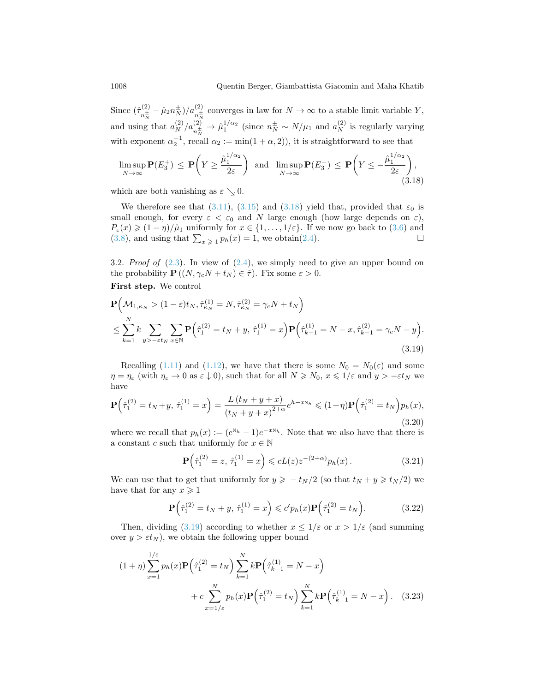Since  $(\hat{\tau}_{\pm}^{(2)}$  $\int_{n_{\overline{N}}^{+}}^{(2)} \hat{\mu}_2 n_{\overline{N}}^{\pm}$  // $a_{n_{\overline{N}}^{+}}^{(2)}$  converges in law for  $N \to \infty$  to a stable limit variable Y, and using that  $a_N^{(2)}/a_{n_N^+}^{(2)} \to \hat{\mu}_1^{1/\alpha_2}$  (since  $n_N^{\pm} \sim N/\mu_1$  and  $a_N^{(2)}$  is regularly varying with exponent  $\alpha_2^{-1}$ , recall  $\alpha_2 := \min(1 + \alpha, 2)$ , it is straightforward to see that

<span id="page-15-1"></span>
$$
\limsup_{N \to \infty} \mathbf{P}(E_3^+) \le \mathbf{P}\left(Y \ge \frac{\hat{\mu}_1^{1/\alpha_2}}{2\varepsilon}\right) \text{ and } \limsup_{N \to \infty} \mathbf{P}(E_3^-) \le \mathbf{P}\left(Y \le -\frac{\hat{\mu}_1^{1/\alpha_2}}{2\varepsilon}\right),\tag{3.18}
$$

which are both vanishing as  $\varepsilon \searrow 0$ .

We therefore see that [\(3.11\)](#page-14-1), [\(3.15\)](#page-14-2) and [\(3.18\)](#page-15-1) yield that, provided that  $\varepsilon_0$  is small enough, for every  $\varepsilon < \varepsilon_0$  and N large enough (how large depends on  $\varepsilon$ ),  $P_{\varepsilon}(x) \geq (1 - \eta)/\hat{\mu}_1$  uniformly for  $x \in \{1, ..., 1/\varepsilon\}$ . If we now go back to [\(3.6\)](#page-13-0) and (3.8), and using that  $\sum_{x \geq 1} p_h(x) = 1$ , we obtain(2.4). [\(3.8\)](#page-13-1), and using that  $\sum_{x \geq 1} p_h(x) = 1$ , we obtain[\(2.4\)](#page-9-2).

<span id="page-15-0"></span>3.2. Proof of  $(2.3)$ . In view of  $(2.4)$ , we simply need to give an upper bound on the probability  $\mathbf{P}((N, \gamma_c N + t_N) \in \hat{\tau})$ . Fix some  $\varepsilon > 0$ .

First step. We control

$$
\mathbf{P}\Big(\mathcal{M}_{1,\kappa_N} > (1-\varepsilon)t_N, \hat{\tau}_{\kappa_N}^{(1)} = N, \hat{\tau}_{\kappa_N}^{(2)} = \gamma_c N + t_N\Big) \n\leq \sum_{k=1}^N k \sum_{y > -\varepsilon t_N} \sum_{x \in \mathbb{N}} \mathbf{P}\Big(\hat{\tau}_1^{(2)} = t_N + y, \ \hat{\tau}_1^{(1)} = x\Big) \mathbf{P}\Big(\hat{\tau}_{k-1}^{(1)} = N - x, \hat{\tau}_{k-1}^{(2)} = \gamma_c N - y\Big).
$$
\n(3.19)

Recalling [\(1.11\)](#page-5-1) and [\(1.12\)](#page-6-3), we have that there is some  $N_0 = N_0(\varepsilon)$  and some  $\eta = \eta_{\varepsilon}$  (with  $\eta_{\varepsilon} \to 0$  as  $\varepsilon \downarrow 0$ ), such that for all  $N \ge N_0$ ,  $x \le 1/\varepsilon$  and  $y > -\varepsilon t_N$  we have

$$
\mathbf{P}\left(\hat{\tau}_1^{(2)} = t_N + y, \ \hat{\tau}_1^{(1)} = x\right) = \frac{L\left(t_N + y + x\right)}{\left(t_N + y + x\right)^{2+\alpha}} e^{h - xN_h} \leqslant (1+\eta)\mathbf{P}\left(\hat{\tau}_1^{(2)} = t_N\right) p_h(x),\tag{3.20}
$$

where we recall that  $p_h(x) := (e^{N_h} - 1)e^{-xN_h}$ . Note that we also have that there is a constant c such that uniformly for  $x \in \mathbb{N}$ 

<span id="page-15-4"></span><span id="page-15-2"></span>
$$
\mathbf{P}\left(\hat{\tau}_1^{(2)} = z, \ \hat{\tau}_1^{(1)} = x\right) \leqslant cL(z)z^{-(2+\alpha)}p_h(x). \tag{3.21}
$$

We can use that to get that uniformly for  $y \geq -t_N/2$  (so that  $t_N + y \geq t_N/2$ ) we have that for any  $x \geq 1$ 

<span id="page-15-3"></span>
$$
\mathbf{P}(\hat{\tau}_1^{(2)} = t_N + y, \, \hat{\tau}_1^{(1)} = x) \leq c' p_h(x) \mathbf{P}(\hat{\tau}_1^{(2)} = t_N).
$$
 (3.22)

Then, dividing [\(3.19\)](#page-15-2) according to whether  $x \leq 1/\varepsilon$  or  $x > 1/\varepsilon$  (and summing over  $y > \varepsilon t_N$ , we obtain the following upper bound

$$
(1+\eta) \sum_{x=1}^{1/\varepsilon} p_h(x) \mathbf{P} \Big( \hat{\tau}_1^{(2)} = t_N \Big) \sum_{k=1}^N k \mathbf{P} \Big( \hat{\tau}_{k-1}^{(1)} = N - x \Big) + c \sum_{x=1/\varepsilon}^N p_h(x) \mathbf{P} \Big( \hat{\tau}_1^{(2)} = t_N \Big) \sum_{k=1}^N k \mathbf{P} \Big( \hat{\tau}_{k-1}^{(1)} = N - x \Big). \tag{3.23}
$$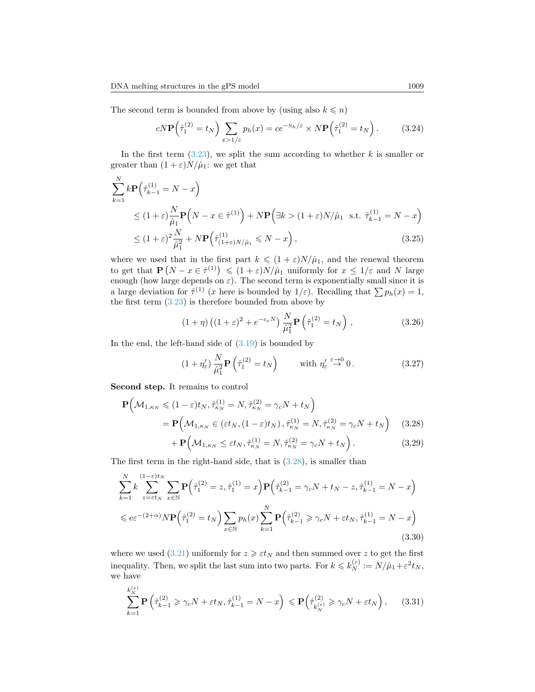The second term is bounded from above by (using also  $k \leq n$ )

$$
cN\mathbf{P}\left(\hat{\tau}_1^{(2)} = t_N\right) \sum_{x > 1/\varepsilon} p_h(x) = c e^{-N_h/\varepsilon} \times N\mathbf{P}\left(\hat{\tau}_1^{(2)} = t_N\right). \tag{3.24}
$$

In the first term  $(3.23)$ , we split the sum according to whether k is smaller or greater than  $(1 + \varepsilon)N/\hat{\mu}_1$ : we get that

$$
\sum_{k=1}^{N} k \mathbf{P} \Big( \hat{\tau}_{k-1}^{(1)} = N - x \Big)
$$
\n
$$
\leq (1 + \varepsilon) \frac{N}{\hat{\mu}_1} \mathbf{P} \Big( N - x \in \hat{\tau}^{(1)} \Big) + N \mathbf{P} \Big( \exists k > (1 + \varepsilon) N / \hat{\mu}_1 \text{ s.t. } \hat{\tau}_{k-1}^{(1)} = N - x \Big)
$$
\n
$$
\leq (1 + \varepsilon)^2 \frac{N}{\hat{\mu}_1^2} + N \mathbf{P} \Big( \hat{\tau}_{(1 + \varepsilon) N / \hat{\mu}_1}^{(1)} \leq N - x \Big), \tag{3.25}
$$

where we used that in the first part  $k \leq (1 + \varepsilon)N/\hat{\mu}_1$ , and the renewal theorem to get that  $\mathbf{P}(N-x \in \hat{\tau}^{(1)}) \leq (1+\varepsilon)N/\hat{\mu}_1$  uniformly for  $x \leq 1/\varepsilon$  and N large enough (how large depends on  $\varepsilon$ ). The second term is exponentially small since it is a large deviation for  $\hat{\tau}^{(1)}$  (x here is bounded by  $1/\varepsilon$ ). Recalling that  $\sum p_h(x) = 1$ , the first term  $(3.23)$  is therefore bounded from above by

$$
(1+\eta)\left((1+\varepsilon)^2 + e^{-c_{\varepsilon}N}\right)\frac{N}{\hat{\mu}_1^2}\mathbf{P}\left(\hat{\tau}_1^{(2)} = t_N\right),\tag{3.26}
$$

In the end, the left-hand side of  $(3.19)$  is bounded by

<span id="page-16-0"></span>
$$
(1 + \eta'_{\varepsilon}) \frac{N}{\hat{\mu}_1^2} \mathbf{P}\left(\hat{\tau}_1^{(2)} = t_N\right) \qquad \text{with } \eta'_{\varepsilon} \stackrel{\varepsilon \to 0}{\to} 0. \tag{3.27}
$$

Second step. It remains to control

$$
\mathbf{P}\Big(\mathcal{M}_{1,\kappa_N} \leq (1-\varepsilon)t_N, \hat{\tau}_{\kappa_N}^{(1)} = N, \hat{\tau}_{\kappa_N}^{(2)} = \gamma_c N + t_N\Big)
$$
\n
$$
= \mathbf{P}\Big(\mathcal{M}_{1,\kappa_N} \in (\varepsilon t_N, (1-\varepsilon)t_N), \hat{\tau}_{\kappa_N}^{(1)} = N, \hat{\tau}_{\kappa_N}^{(2)} = \gamma_c N + t_N\Big) \tag{3.28}
$$

<span id="page-16-1"></span>
$$
+\mathbf{P}\Big(\mathcal{M}_{1,\kappa_N}\leq \varepsilon t_N,\hat{\tau}_{\kappa_N}^{(1)}=N,\hat{\tau}_{\kappa_N}^{(2)}=\gamma_c N+t_N\Big). \hspace{1.5cm} (3.29)
$$

The first term in the right-hand side, that is [\(3.28\)](#page-16-0), is smaller than

$$
\sum_{k=1}^{N} k \sum_{z=\varepsilon t_N}^{(1-\varepsilon)t_N} \sum_{x\in\mathbb{N}} \mathbf{P}\Big(\hat{\tau}_1^{(2)} = z, \hat{\tau}_1^{(1)} = x\Big) \mathbf{P}\Big(\hat{\tau}_{k-1}^{(2)} = \gamma_c N + t_N - z, \hat{\tau}_{k-1}^{(1)} = N - x\Big)
$$
  
\$\leq c\varepsilon^{-(2+\alpha)}N\mathbf{P}\Big(\hat{\tau}\_1^{(2)} = t\_N\Big) \sum\_{x\in\mathbb{N}} p\_h(x) \sum\_{k=1}^{N} \mathbf{P}\Big(\hat{\tau}\_{k-1}^{(2)} \geq \gamma\_c N + \varepsilon t\_N, \hat{\tau}\_{k-1}^{(1)} = N - x\Big)\$}\n  
(3.30)

where we used [\(3.21\)](#page-15-4) uniformly for  $z \geq \varepsilon t_N$  and then summed over z to get the first inequality. Then, we split the last sum into two parts. For  $k \leq k_N^{(\varepsilon)} := N/\hat{\mu}_1 + \varepsilon^2 t_N$ , we have

$$
\sum_{k=1}^{k_N^{(\varepsilon)}} \mathbf{P}\left(\hat{\tau}_{k-1}^{(2)} \geq \gamma_c N + \varepsilon t_N, \hat{\tau}_{k-1}^{(1)} = N - x\right) \leqslant \mathbf{P}\left(\hat{\tau}_{k_N^{(\varepsilon)}}^{(2)} \geqslant \gamma_c N + \varepsilon t_N\right),\tag{3.31}
$$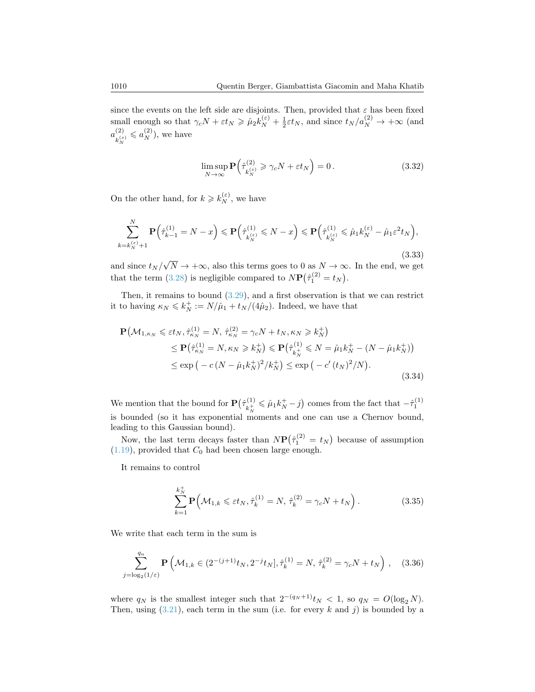since the events on the left side are disjoints. Then, provided that  $\varepsilon$  has been fixed small enough so that  $\gamma_c N + \varepsilon t_N \ge \hat{\mu}_2 k_N^{(\varepsilon)} + \frac{1}{2} \varepsilon t_N$ , and since  $t_N/a_N^{(2)} \to +\infty$  (and  $a_{\tau(\varepsilon)}^{(2)}$  $\binom{2}{k_N^{(\varepsilon)}} \leqslant a_N^{(2)}$ , we have

$$
\limsup_{N \to \infty} \mathbf{P}\left(\hat{\tau}_{k_N^{(\varepsilon)}}^{(2)} \geq \gamma_c N + \varepsilon t_N\right) = 0. \tag{3.32}
$$

On the other hand, for  $k \geq k_N^{(\varepsilon)}$ , we have

$$
\sum_{k=k_N^{(\varepsilon)}}^N \mathbf{P}\Big(\hat{\tau}_{k-1}^{(1)} = N - x\Big) \leqslant \mathbf{P}\Big(\hat{\tau}_{k_N^{(\varepsilon)}}^{(1)} \leqslant N - x\Big) \leqslant \mathbf{P}\Big(\hat{\tau}_{k_N^{(\varepsilon)}}^{(1)} \leqslant \hat{\mu}_1 k_N^{(\varepsilon)} - \hat{\mu}_1 \varepsilon^2 t_N\Big),\tag{3.33}
$$

and since  $t_N/\sqrt{N} \to +\infty$ , also this terms goes to 0 as  $N \to \infty$ . In the end, we get that the term [\(3.28\)](#page-16-0) is negligible compared to  $N\mathbf{P}(\hat{\tau}_1^{(2)} = t_N)$ .

Then, it remains to bound [\(3.29\)](#page-16-1), and a first observation is that we can restrict it to having  $\kappa_N \leq k_N^+ := N/\hat{\mu}_1 + t_N/(4\hat{\mu}_2)$ . Indeed, we have that

<span id="page-17-0"></span>
$$
\mathbf{P}(\mathcal{M}_{1,\kappa_N} \leq \varepsilon t_N, \hat{\tau}_{\kappa_N}^{(1)} = N, \hat{\tau}_{\kappa_N}^{(2)} = \gamma_c N + t_N, \kappa_N \geq k_N^+)
$$
\n
$$
\leq \mathbf{P}(\hat{\tau}_{\kappa_N}^{(1)} = N, \kappa_N \geq k_N^+) \leq \mathbf{P}(\hat{\tau}_{k_N^+}^{(1)} \leq N = \hat{\mu}_1 k_N^+ - (N - \hat{\mu}_1 k_N^+))
$$
\n
$$
\leq \exp(-c(N - \hat{\mu}_1 k_N^+)^2 / k_N^+) \leq \exp(-c'(t_N)^2 / N).
$$
\n(3.34)

We mention that the bound for  $\mathbf{P}(\hat{\tau}_{i+1}^{(1)})$  $\hat{k}_N^{(1)} \leqslant \hat{\mu}_1 k_N^+ - j$  comes from the fact that  $-\hat{\tau}_1^{(1)}$ is bounded (so it has exponential moments and one can use a Chernov bound, leading to this Gaussian bound).

Now, the last term decays faster than  $N\mathbf{P}(\hat{\tau}_1^{(2)} = t_N)$  because of assumption  $(1.19)$ , provided that  $C_0$  had been chosen large enough.

It remains to control

$$
\sum_{k=1}^{k_N^+} \mathbf{P}\Big(\mathcal{M}_{1,k} \leq \varepsilon t_N, \hat{\tau}_k^{(1)} = N, \ \hat{\tau}_k^{(2)} = \gamma_c N + t_N\Big) \,. \tag{3.35}
$$

We write that each term in the sum is

$$
\sum_{j=\log_2(1/\varepsilon)}^{q_n} \mathbf{P}\left(\mathcal{M}_{1,k} \in (2^{-(j+1)}t_N, 2^{-j}t_N], \hat{\tau}_k^{(1)} = N, \ \hat{\tau}_k^{(2)} = \gamma_c N + t_N\right), \quad (3.36)
$$

where  $q_N$  is the smallest integer such that  $2^{-(q_N+1)}t_N < 1$ , so  $q_N = O(\log_2 N)$ . Then, using  $(3.21)$ , each term in the sum (i.e. for every k and j) is bounded by a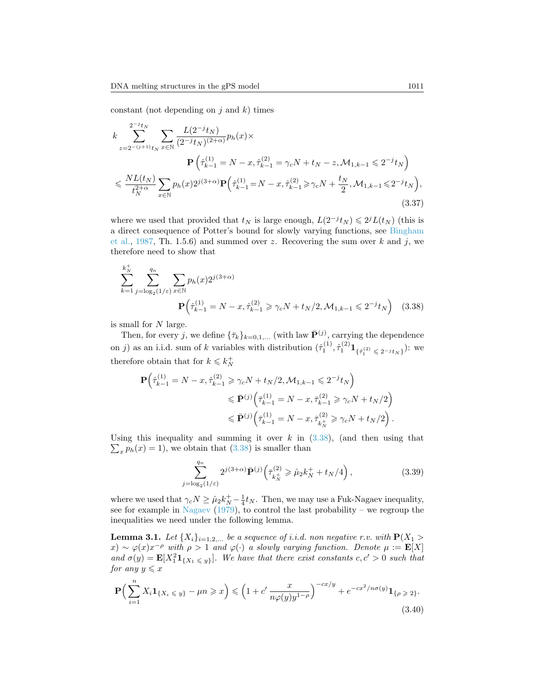constant (not depending on  $j$  and  $k$ ) times

$$
k \sum_{z=2^{-(j+1)}t_N}^{2^{-j}t_N} \sum_{x \in \mathbb{N}} \frac{L(2^{-j}t_N)}{(2^{-j}t_N)^{(2+\alpha)}} p_h(x) \times
$$
  
\n
$$
\mathbf{P}\left(\hat{\tau}_{k-1}^{(1)} = N - x, \hat{\tau}_{k-1}^{(2)} = \gamma_c N + t_N - z, \mathcal{M}_{1,k-1} \leq 2^{-j}t_N\right)
$$
  
\n
$$
\leq \frac{NL(t_N)}{t_N^{2+\alpha}} \sum_{x \in \mathbb{N}} p_h(x) 2^{j(3+\alpha)} \mathbf{P}\left(\hat{\tau}_{k-1}^{(1)} = N - x, \hat{\tau}_{k-1}^{(2)} \geq \gamma_c N + \frac{t_N}{2}, \mathcal{M}_{1,k-1} \leq 2^{-j}t_N\right),
$$
\n(3.37)

where we used that provided that  $t_N$  is large enough,  $L(2^{-j}t_N) \leq 2^{j}L(t_N)$  (this is a direct consequence of Potter's bound for slowly varying functions, see [Bingham](#page-31-3) [et al.,](#page-31-3) [1987,](#page-31-3) Th. 1.5.6) and summed over z. Recovering the sum over k and j, we therefore need to show that

$$
\sum_{k=1}^{k_N^+} \sum_{j=\log_2(1/\varepsilon)}^{q_n} \sum_{x \in \mathbb{N}} p_h(x) 2^{j(3+\alpha)}
$$
  

$$
\mathbf{P}\left(\hat{\tau}_{k-1}^{(1)} = N - x, \hat{\tau}_{k-1}^{(2)} \ge \gamma_c N + t_N/2, \mathcal{M}_{1,k-1} \le 2^{-j} t_N\right)
$$
(3.38)

is small for N large.

Then, for every j, we define  $\{\bar{\tau}_k\}_{k=0,1,...}$  (with law  $\bar{\mathbf{P}}^{(j)}$ , carrying the dependence on j) as an i.i.d. sum of k variables with distribution  $(\hat{\tau}_1^{(1)}, \hat{\tau}_1^{(2)} \mathbf{1}_{\{\hat{\tau}_1^{(2)} \leq 2^{-j} t_N\}})$ : we therefore obtain that for  $k \leq k_N^+$ 

$$
\begin{split} \mathbf{P} \Big( \hat{\tau}_{k-1}^{(1)} = N - x, \hat{\tau}_{k-1}^{(2)} \geq \gamma_c N + t_N/2, \mathcal{M}_{1,k-1} \leqslant 2^{-j} t_N \Big) \\ & \leqslant \bar{\mathbf{P}}^{(j)} \Big( \bar{\tau}_{k-1}^{(1)} = N - x, \bar{\tau}_{k-1}^{(2)} \geqslant \gamma_c N + t_N/2 \Big) \\ & \leqslant \bar{\mathbf{P}}^{(j)} \Big( \bar{\tau}_{k-1}^{(1)} = N - x, \bar{\tau}_{k_N^+}^{(2)} \geqslant \gamma_c N + t_N/2 \Big) \,. \end{split}
$$

Using this inequality and summing it over  $k$  in  $(3.38)$ , (and then using that  $\sum_{x} p_h(x) = 1$ , we obtain that [\(3.38\)](#page-18-0) is smaller than

<span id="page-18-3"></span><span id="page-18-0"></span>
$$
\sum_{j=\log_2(1/\varepsilon)}^{q_n} 2^{j(3+\alpha)} \bar{\mathbf{P}}^{(j)} \left( \bar{\tau}_{k_N^+}^{(2)} \ge \hat{\mu}_2 k_N^+ + t_N/4 \right), \tag{3.39}
$$

where we used that  $\gamma_c N \geq \hat{\mu}_2 k_N^+ - \frac{1}{4} t_N$ . Then, we may use a Fuk-Nagaev inequality, see for example in [Nagaev](#page-32-12) [\(1979\)](#page-32-12), to control the last probability – we regroup the inequalities we need under the following lemma.

<span id="page-18-2"></span>**Lemma 3.1.** Let  $\{X_i\}_{i=1,2,...}$  be a sequence of i.i.d. non negative r.v. with  $P(X_1 >$  $f(x) \sim \varphi(x)x^{-\rho}$  with  $\rho > 1$  and  $\varphi(\cdot)$  a slowly varying function. Denote  $\mu := \mathbf{E}[X]$ and  $\sigma(y) = \mathbf{E}[X_1^2 \mathbf{1}_{\{X_1 \leq y\}}].$  We have that there exist constants  $c, c' > 0$  such that for any  $y \leqslant x$ 

<span id="page-18-1"></span>
$$
\mathbf{P}\Big(\sum_{i=1}^{n} X_i \mathbf{1}_{\{X_i \le y\}} - \mu n \ge x\Big) \le \left(1 + c' \frac{x}{n\varphi(y)y^{1-\rho}}\right)^{-cx/y} + e^{-cx^2/n\sigma(y)} \mathbf{1}_{\{\rho \ge 2\}}.
$$
\n(3.40)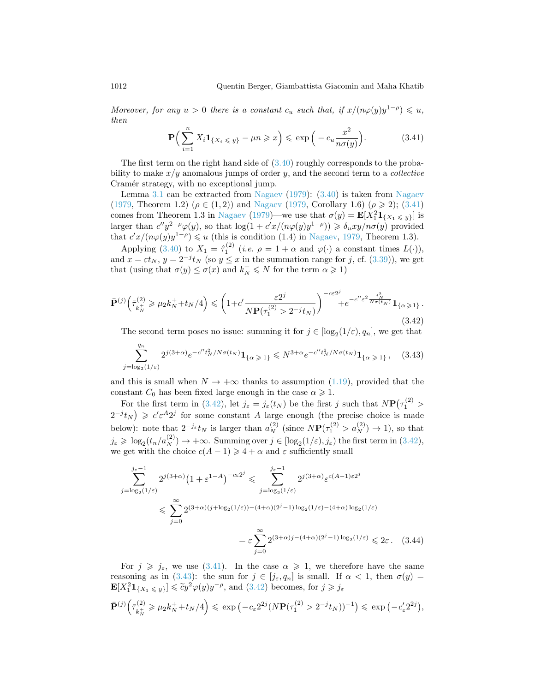Moreover, for any  $u > 0$  there is a constant  $c_u$  such that, if  $x/(n\varphi(y)y^{1-\rho}) \leq u$ , then

<span id="page-19-1"></span>
$$
\mathbf{P}\Big(\sum_{i=1}^{n} X_i \mathbf{1}_{\{X_i \leq y\}} - \mu n \geqslant x\Big) \leqslant \exp\Big(-c_u \frac{x^2}{n\sigma(y)}\Big). \tag{3.41}
$$

The first term on the right hand side of  $(3.40)$  roughly corresponds to the probability to make  $x/y$  anomalous jumps of order y, and the second term to a *collective* Cramér strategy, with no exceptional jump.

Lemma [3.1](#page-18-2) can be extracted from [Nagaev](#page-32-12) [\(1979\)](#page-32-12): [\(3.40\)](#page-18-1) is taken from [Nagaev](#page-32-12) [\(1979,](#page-32-12) Theorem 1.2) ( $\rho \in (1, 2)$ ) and [Nagaev](#page-32-12) (1979, Corollary 1.6) ( $\rho \ge 2$ ); [\(3.41\)](#page-19-1) comes from Theorem 1.3 in [Nagaev](#page-32-12) [\(1979\)](#page-32-12)—we use that  $\sigma(y) = \mathbf{E}[X_1^2 \mathbf{1}_{\{X_1 \le y\}}]$  is larger than  $c''y^{2-\rho}\varphi(y)$ , so that  $\log(1+c'x/(n\varphi(y)y^{1-\rho})) \geq \delta_u xy/n\sigma(y)$  provided that  $c'x/(n\varphi(y)y^{1-\rho}) \leq u$  (this is condition (1.4) in [Nagaev,](#page-32-12) [1979,](#page-32-12) Theorem 1.3).

Applying [\(3.40\)](#page-18-1) to  $X_1 = \hat{\tau}_1^{(2)}$  (*i.e.*  $\rho = 1 + \alpha$  and  $\varphi(\cdot)$  a constant times  $L(\cdot)$ ), and  $x = \varepsilon t_N$ ,  $y = 2^{-j} t_N$  (so  $y \le x$  in the summation range for j, cf. [\(3.39\)](#page-18-3)), we get that (using that  $\sigma(y) \leq \sigma(x)$  and  $k_N^+ \leq N$  for the term  $\alpha \geq 1$ )

<span id="page-19-2"></span>
$$
\bar{\mathbf{P}}^{(j)}\left(\bar{\tau}_{k_N^+}^{(2)} \ge \mu_2 k_N^+ + t_N/4\right) \le \left(1 + c' \frac{\varepsilon 2^j}{N \mathbf{P}(\tau_1^{(2)} > 2^{-j} t_N)}\right)^{-c\varepsilon 2^j} + e^{-c'' \varepsilon^2 \frac{t_N^2}{N \sigma(t_N)}} \mathbf{1}_{\{\alpha \ge 1\}}.
$$
\n(3.42)

The second term poses no issue: summing it for  $j \in [\log_2(1/\varepsilon), q_n]$ , we get that

<span id="page-19-0"></span>
$$
\sum_{j=\log_2(1/\varepsilon)}^{q_n} 2^{j(3+\alpha)} e^{-c'' t_N^2 / N \sigma(t_N)} \mathbf{1}_{\{\alpha \geq 1\}} \leq N^{3+\alpha} e^{-c'' t_N^2 / N \sigma(t_N)} \mathbf{1}_{\{\alpha \geq 1\}}, \quad (3.43)
$$

and this is small when  $N \to +\infty$  thanks to assumption [\(1.19\)](#page-6-1), provided that the constant  $C_0$  has been fixed large enough in the case  $\alpha \geq 1$ .

For the first term in [\(3.42\)](#page-19-2), let  $j_{\varepsilon} = j_{\varepsilon}(t_N)$  be the first j such that  $N\mathbf{P}(\tau_1^{(2)} >$  $2^{-j}t_N$ )  $\geq c'\varepsilon^{A}2^{j}$  for some constant A large enough (the precise choice is made below): note that  $2^{-j_{\varepsilon}}t_N$  is larger than  $a_N^{(2)}$  (since  $N\mathbf{P}(\tau_1^{(2)} > a_N^{(2)}) \to 1$ ), so that  $j_{\varepsilon} \geq \log_2(t_n/a_N^{(2)}) \to +\infty$ . Summing over  $j \in [\log_2(1/\varepsilon), j_{\varepsilon})$  the first term in [\(3.42\)](#page-19-2), we get with the choice  $c(A-1) \geq 4 + \alpha$  and  $\varepsilon$  sufficiently small

$$
\sum_{j=\log_2(1/\varepsilon)}^{j_{\varepsilon}-1} 2^{j(3+\alpha)} \left(1+\varepsilon^{1-A}\right)^{-c\varepsilon 2^j} \leqslant \sum_{j=\log_2(1/\varepsilon)}^{j_{\varepsilon}-1} 2^{j(3+\alpha)} \varepsilon^{c(A-1)\varepsilon 2^j}
$$
\n
$$
\leqslant \sum_{j=0}^{\infty} 2^{(3+\alpha)(j+\log_2(1/\varepsilon)) - (4+\alpha)(2^j-1)\log_2(1/\varepsilon) - (4+\alpha)\log_2(1/\varepsilon)}
$$
\n
$$
= \varepsilon \sum_{j=0}^{\infty} 2^{(3+\alpha)j - (4+\alpha)(2^j-1)\log_2(1/\varepsilon)} \leqslant 2\varepsilon. \quad (3.44)
$$

For  $j \geq \dot{j}_{\varepsilon}$ , we use [\(3.41\)](#page-19-1). In the case  $\alpha \geq 1$ , we therefore have the same reasoning as in [\(3.43\)](#page-19-0): the sum for  $j \in [j_{\varepsilon}, q_n]$  is small. If  $\alpha < 1$ , then  $\sigma(y) =$  $\mathbf{E}[X_1^2 \mathbf{1}_{\{X_1 \leq y\}}] \leq \tilde{c}y^2 \varphi(y)y^{-\rho}$ , and  $(3.42)$  becomes, for  $j \geq j_{\varepsilon}$ 

$$
\bar{\mathbf{P}}^{(j)}\Big(\bar{\tau}_{k_N^+}^{(2)} \ge \mu_2 k_N^+ + t_N/4\Big) \le \exp\left(-c_{\varepsilon} 2^{2j} (N \mathbf{P}(\tau_1^{(2)} > 2^{-j} t_N))^{-1}\right) \le \exp\left(-c_{\varepsilon}' 2^{2j}\right),
$$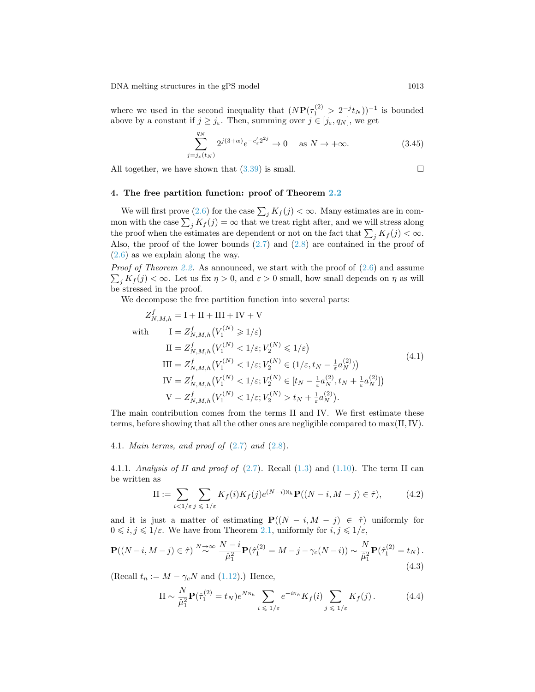where we used in the second inequality that  $(N\mathbf{P}(\tau_1^{(2)} > 2^{-j}t_N))^{-1}$  is bounded above by a constant if  $j \geq j_{\varepsilon}$ . Then, summing over  $j \in [j_{\varepsilon}, q_N]$ , we get

$$
\sum_{j=j_{\varepsilon}(t_N)}^{q_N} 2^{j(3+\alpha)} e^{-c_{\varepsilon}' 2^{2j}} \to 0 \quad \text{as } N \to +\infty.
$$
 (3.45)

All together, we have shown that [\(3.39\)](#page-18-3) is small.

$$
\qquad \qquad \Box
$$

## <span id="page-20-0"></span>4. The free partition function: proof of Theorem [2.2](#page-10-2)

We will first prove [\(2.6\)](#page-10-0) for the case  $\sum_j K_j(j) < \infty$ . Many estimates are in common with the case  $\sum_j K_j(j) = \infty$  that we treat right after, and we will stress along the proof when the estimates are dependent or not on the fact that  $\sum_j K_f(j) < \infty$ . Also, the proof of the lower bounds  $(2.7)$  and  $(2.8)$  are contained in the proof of [\(2.6\)](#page-10-0) as we explain along the way.

*Proof of Theorem [2.2.](#page-10-2)* As announced, we start with the proof of  $(2.6)$  and assume  $\sum_j K_f(j) < \infty$ . Let us fix  $\eta > 0$ , and  $\varepsilon > 0$  small, how small depends on  $\eta$  as will be stressed in the proof.

We decompose the free partition function into several parts:

<span id="page-20-3"></span>
$$
Z_{N,M,h}^{f} = I + II + III + IV + V
$$
  
\nwith 
$$
I = Z_{N,M,h}^{f}(V_1^{(N)} \ge 1/\varepsilon)
$$
  
\n
$$
II = Z_{N,M,h}^{f}(V_1^{(N)} < 1/\varepsilon; V_2^{(N)} \le 1/\varepsilon)
$$
  
\n
$$
III = Z_{N,M,h}^{f}(V_1^{(N)} < 1/\varepsilon; V_2^{(N)} \in (1/\varepsilon, t_N - \frac{1}{\varepsilon} a_N^{(2)}))
$$
  
\n
$$
IV = Z_{N,M,h}^{f}(V_1^{(N)} < 1/\varepsilon; V_2^{(N)} \in [t_N - \frac{1}{\varepsilon} a_N^{(2)}, t_N + \frac{1}{\varepsilon} a_N^{(2)}])
$$
  
\n
$$
V = Z_{N,M,h}^{f}(V_1^{(N)} < 1/\varepsilon; V_2^{(N)} > t_N + \frac{1}{\varepsilon} a_N^{(2)}).
$$
\n
$$
(4.1)
$$

The main contribution comes from the terms II and IV. We first estimate these terms, before showing that all the other ones are negligible compared to max(II,IV).

<span id="page-20-1"></span>4.1. Main terms, and proof of [\(2.7\)](#page-10-1) and [\(2.8\)](#page-10-3).

4.1.1. Analysis of II and proof of  $(2.7)$ . Recall  $(1.3)$  and  $(1.10)$ . The term II can be written as

<span id="page-20-2"></span>
$$
\text{II} := \sum_{i < 1/\varepsilon} \sum_{j \leqslant 1/\varepsilon} K_f(i) K_f(j) e^{(N-i)N_h} \mathbf{P}((N-i, M-j) \in \hat{\tau}),\tag{4.2}
$$

and it is just a matter of estimating  $P((N - i, M - j) \in \hat{\tau})$  uniformly for  $0 \leq i, j \leq 1/\varepsilon$ . We have from Theorem [2.1,](#page-9-1) uniformly for  $i, j \leq 1/\varepsilon$ ,

$$
\mathbf{P}((N-i, M-j) \in \hat{\tau}) \stackrel{N \to \infty}{\sim} \frac{N-i}{\hat{\mu}_1^2} \mathbf{P}(\hat{\tau}_1^{(2)} = M - j - \gamma_c(N-i)) \sim \frac{N}{\hat{\mu}_1^2} \mathbf{P}(\hat{\tau}_1^{(2)} = t_N).
$$
\n(4.3)

(Recall  $t_n := M - \gamma_c N$  and [\(1.12\)](#page-6-3).) Hence,

<span id="page-20-4"></span>
$$
\mathcal{II} \sim \frac{N}{\hat{\mu}_1^2} \mathbf{P}(\hat{\tau}_1^{(2)} = t_N) e^{N N_h} \sum_{i \leq 1/\varepsilon} e^{-i N_h} K_f(i) \sum_{j \leq 1/\varepsilon} K_f(j). \tag{4.4}
$$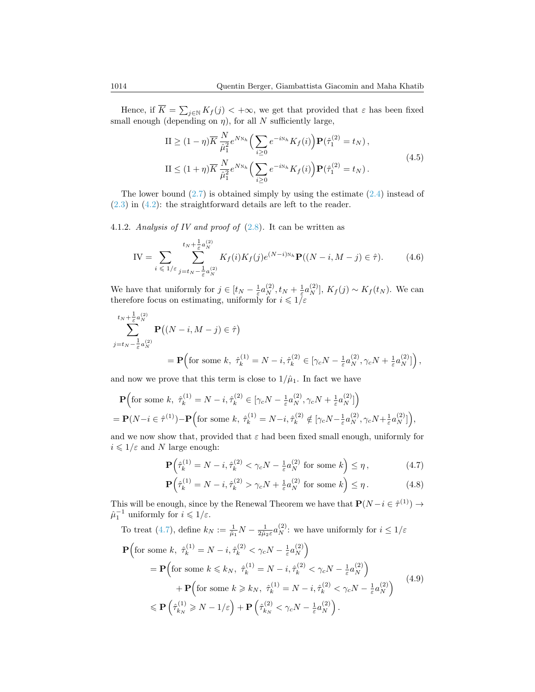Hence, if  $\overline{K} = \sum_{j \in \mathbb{N}} K_j(j) < +\infty$ , we get that provided that  $\varepsilon$  has been fixed small enough (depending on  $\eta$ ), for all N sufficiently large,

$$
\Pi \ge (1 - \eta) \overline{K} \frac{N}{\hat{\mu}_1^2} e^{N_{N_h}} \Big( \sum_{i \ge 0} e^{-i N_h} K_f(i) \Big) \mathbf{P}(\hat{\tau}_1^{(2)} = t_N),
$$
  
\n
$$
\Pi \le (1 + \eta) \overline{K} \frac{N}{\hat{\mu}_1^2} e^{N_{N_h}} \Big( \sum_{i \ge 0} e^{-i N_h} K_f(i) \Big) \mathbf{P}(\hat{\tau}_1^{(2)} = t_N).
$$
\n(4.5)

The lower bound [\(2.7\)](#page-10-1) is obtained simply by using the estimate [\(2.4\)](#page-9-2) instead of [\(2.3\)](#page-9-3) in [\(4.2\)](#page-20-2): the straightforward details are left to the reader.

4.1.2. Analysis of IV and proof of  $(2.8)$ . It can be written as

IV = 
$$
\sum_{i \leq 1/\varepsilon} \sum_{j=t_N - \frac{1}{\varepsilon} a_N^{(2)}}^{t_N + \frac{1}{\varepsilon} a_N^{(2)}} K_f(i) K_f(j) e^{(N-i)N_h} \mathbf{P}((N-i, M-j) \in \hat{\tau}).
$$
 (4.6)

We have that uniformly for  $j \in [t_N - \frac{1}{\varepsilon} a_N^{(2)}, t_N + \frac{1}{\varepsilon} a_N^{(2)}], K_f(j) \sim K_f(t_N)$ . We can therefore focus on estimating, uniformly for  $i \leqslant 1/\varepsilon$ 

$$
\sum_{j=t_N-\frac{1}{\varepsilon}a_N^{(2)}}^{t_N+\frac{1}{\varepsilon}a_N^{(2)}} \mathbf{P} \big( (N-i, M-j) \in \hat{\tau} \big)
$$
\n
$$
= \mathbf{P} \Big( \text{for some } k, \ \hat{\tau}_k^{(1)} = N-i, \hat{\tau}_k^{(2)} \in [\gamma_c N - \frac{1}{\varepsilon}a_N^{(2)}, \gamma_c N + \frac{1}{\varepsilon}a_N^{(2)}] \Big),
$$

and now we prove that this term is close to  $1/\hat{\mu}_1$ . In fact we have

$$
\mathbf{P}\Big(\text{for some }k,\ \hat{\tau}_k^{(1)} = N - i, \hat{\tau}_k^{(2)} \in [\gamma_c N - \frac{1}{\varepsilon} a_N^{(2)}, \gamma_c N + \frac{1}{\varepsilon} a_N^{(2)}] \Big) \n= \mathbf{P}(N - i \in \hat{\tau}^{(1)}) - \mathbf{P}\Big(\text{for some }k,\ \hat{\tau}_k^{(1)} = N - i, \hat{\tau}_k^{(2)} \notin [\gamma_c N - \frac{1}{\varepsilon} a_N^{(2)}, \gamma_c N + \frac{1}{\varepsilon} a_N^{(2)}] \Big),
$$

and we now show that, provided that  $\varepsilon$  had been fixed small enough, uniformly for  $i \leqslant 1/\varepsilon$  and N large enough:

<span id="page-21-1"></span><span id="page-21-0"></span>
$$
\mathbf{P}\left(\hat{\tau}_k^{(1)} = N - i, \hat{\tau}_k^{(2)} < \gamma_c N - \frac{1}{\varepsilon} a_N^{(2)} \text{ for some } k\right) \le \eta\,,\tag{4.7}
$$

$$
\mathbf{P}\left(\hat{\tau}_k^{(1)} = N - i, \hat{\tau}_k^{(2)} > \gamma_c N + \frac{1}{\varepsilon} a_N^{(2)} \text{ for some } k\right) \le \eta. \tag{4.8}
$$

This will be enough, since by the Renewal Theorem we have that  $\mathbf{P}(N-i \in \hat{\tau}^{(1)}) \to$  $\hat{\mu}_1^{-1}$  uniformly for  $i \leq 1/\varepsilon$ .

To treat (4.7), define 
$$
k_N := \frac{1}{\hat{\mu}_1} N - \frac{1}{2\hat{\mu}_2 \varepsilon} a_N^{(2)}
$$
: we have uniformly for  $i \leq 1/\varepsilon$ 

<span id="page-21-2"></span>
$$
\mathbf{P}\left(\text{for some } k, \ \hat{\tau}_k^{(1)} = N - i, \hat{\tau}_k^{(2)} < \gamma_c N - \frac{1}{\varepsilon} a_N^{(2)}\right)
$$
\n
$$
= \mathbf{P}\left(\text{for some } k \leq k_N, \ \hat{\tau}_k^{(1)} = N - i, \hat{\tau}_k^{(2)} < \gamma_c N - \frac{1}{\varepsilon} a_N^{(2)}\right)
$$
\n
$$
+ \mathbf{P}\left(\text{for some } k \geq k_N, \ \hat{\tau}_k^{(1)} = N - i, \hat{\tau}_k^{(2)} < \gamma_c N - \frac{1}{\varepsilon} a_N^{(2)}\right)
$$
\n
$$
\leq \mathbf{P}\left(\hat{\tau}_{k_N}^{(1)} \geq N - 1/\varepsilon\right) + \mathbf{P}\left(\hat{\tau}_{k_N}^{(2)} < \gamma_c N - \frac{1}{\varepsilon} a_N^{(2)}\right). \tag{4.9}
$$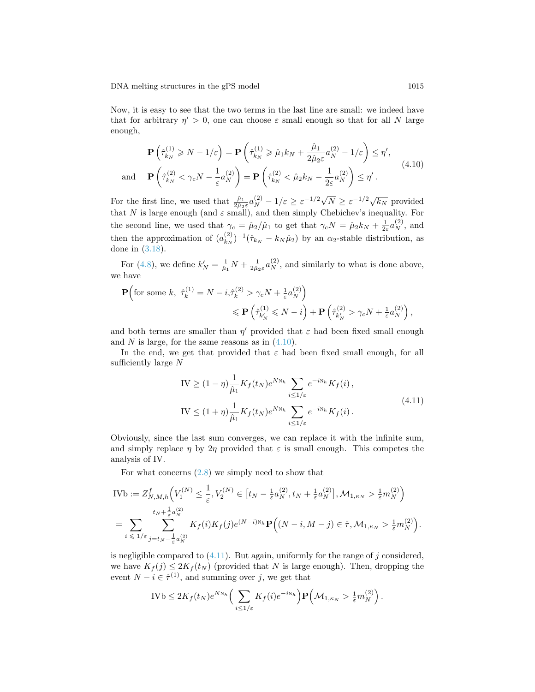Now, it is easy to see that the two terms in the last line are small: we indeed have that for arbitrary  $\eta' > 0$ , one can choose  $\varepsilon$  small enough so that for all N large enough,

<span id="page-22-0"></span>
$$
\mathbf{P}\left(\hat{\tau}_{k_N}^{(1)} \ge N - 1/\varepsilon\right) = \mathbf{P}\left(\hat{\tau}_{k_N}^{(1)} \ge \hat{\mu}_1 k_N + \frac{\hat{\mu}_1}{2\hat{\mu}_2 \varepsilon} a_N^{(2)} - 1/\varepsilon\right) \le \eta',
$$
\n
$$
\text{and} \quad \mathbf{P}\left(\hat{\tau}_{k_N}^{(2)} < \gamma_c N - \frac{1}{\varepsilon} a_N^{(2)}\right) = \mathbf{P}\left(\hat{\tau}_{k_N}^{(2)} < \hat{\mu}_2 k_N - \frac{1}{2\varepsilon} a_N^{(2)}\right) \le \eta'.
$$
\n
$$
(4.10)
$$

For the first line, we used that  $\frac{\hat{\mu}_1}{2\hat{\mu}_2 \varepsilon} a_N^{(2)} - 1/\varepsilon \geq \varepsilon^{-1/2} \sqrt{N} \geq \varepsilon^{-1/2} \sqrt{k_N}$  provided that N is large enough (and  $\varepsilon$  small), and then simply Chebichev's inequality. For the second line, we used that  $\gamma_c = \hat{\mu}_2 / \hat{\mu}_1$  to get that  $\gamma_c N = \hat{\mu}_2 k_N + \frac{1}{2\varepsilon} a_N^{(2)}$ , and then the approximation of  $(a_{k_N}^{(2)})$  $(k_N)^{-1}(\hat{\tau}_{k_N} - k_N \hat{\mu}_2)$  by an  $\alpha_2$ -stable distribution, as done in [\(3.18\)](#page-15-1).

For [\(4.8\)](#page-21-1), we define  $k'_N = \frac{1}{\hat{\mu}_1} N + \frac{1}{2\hat{\mu}_2 \varepsilon} a_N^{(2)}$ , and similarly to what is done above, we have

$$
\begin{split} \mathbf{P}\Big( & \text{for some } k, \ \hat{\tau}_k^{(1)} = N - i, & \hat{\tau}_k^{(2)} > \gamma_c N + \frac{1}{\varepsilon} a_N^{(2)} \Big) \\ &\leqslant \mathbf{P}\left(\hat{\tau}_{k_N'}^{(1)} \leqslant N - i\right) + \mathbf{P}\left(\hat{\tau}_{k_N'}^{(2)} > \gamma_c N + \frac{1}{\varepsilon} a_N^{(2)}\right), \end{split}
$$

and both terms are smaller than  $\eta'$  provided that  $\varepsilon$  had been fixed small enough and N is large, for the same reasons as in  $(4.10)$ .

In the end, we get that provided that  $\varepsilon$  had been fixed small enough, for all sufficiently large  $N$ 

$$
IV \ge (1 - \eta) \frac{1}{\hat{\mu}_1} K_f(t_N) e^{N_{N_h}} \sum_{i \le 1/\varepsilon} e^{-i_{N_h}} K_f(i),
$$
  
\n
$$
IV \le (1 + \eta) \frac{1}{\hat{\mu}_1} K_f(t_N) e^{N_{N_h}} \sum_{i \le 1/\varepsilon} e^{-i_{N_h}} K_f(i).
$$
\n(4.11)

<span id="page-22-1"></span>Obviously, since the last sum converges, we can replace it with the infinite sum, and simply replace  $\eta$  by  $2\eta$  provided that  $\varepsilon$  is small enough. This competes the analysis of IV.

For what concerns  $(2.8)$  we simply need to show that

$$
\begin{split} \text{IVb} &:= Z^f_{N,M,h} \Big( V^{(N)}_1 \leq \frac{1}{\varepsilon}, V^{(N)}_2 \in \big[ t_N - \tfrac{1}{\varepsilon} a_N^{(2)}, t_N + \tfrac{1}{\varepsilon} a_N^{(2)} \big], \mathcal{M}_{1,\kappa_N} > \tfrac{1}{\varepsilon} m_N^{(2)} \Big) \\ & = \sum_{i \, \leqslant \, 1/\varepsilon} \sum_{j=t_N - \tfrac{1}{\varepsilon} a_N^{(2)}}^{\ell_{N,j}} K_f(i) K_f(j) e^{(N-i) \mathbb{N}_h} \mathbf{P} \Big( (N-i, M-j) \in \hat{\tau}, \mathcal{M}_{1,\kappa_N} > \tfrac{1}{\varepsilon} m_N^{(2)} \Big). \end{split}
$$

is negligible compared to  $(4.11)$ . But again, uniformly for the range of j considered, we have  $K_f(j) \leq 2K_f(t_N)$  (provided that N is large enough). Then, dropping the event  $N - i \in \hat{\tau}^{(1)}$ , and summing over j, we get that

$$
IVb \leq 2K_f(t_N)e^{N\gamma_h}\Big(\sum_{i\leq 1/\varepsilon}K_f(i)e^{-i\gamma_h}\Big)\mathbf{P}\Big(\mathcal{M}_{1,\kappa_N} > \frac{1}{\varepsilon}m_N^{(2)}\Big).
$$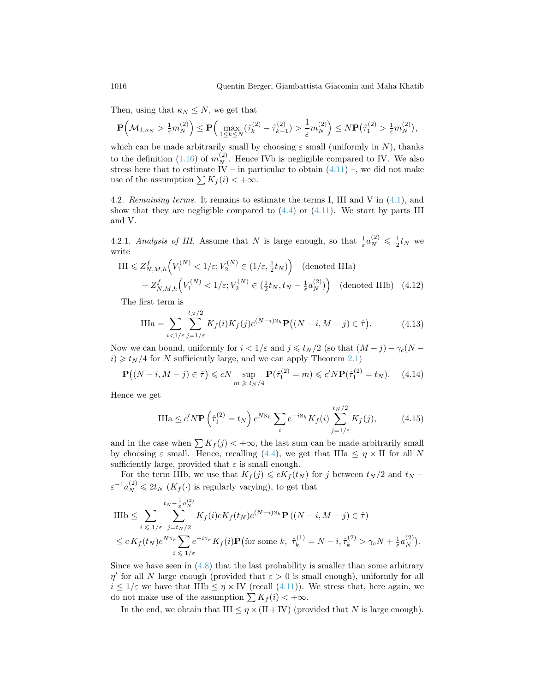Then, using that  $\kappa_N \leq N$ , we get that

$$
\mathbf{P}\Big(\mathcal{M}_{1,\kappa_N} > \tfrac{1}{\varepsilon}m_N^{(2)}\Big) \leq \mathbf{P}\Big(\max_{1\leq k\leq N}(\hat{\tau}_k^{(2)}-\hat{\tau}_{k-1}^{(2)}) > \tfrac{1}{\varepsilon}m_N^{(2)}\Big) \leq N \mathbf{P}\big(\hat{\tau}_1^{(2)} > \tfrac{1}{\varepsilon}m_N^{(2)}\big),
$$

which can be made arbitrarily small by choosing  $\varepsilon$  small (uniformly in N), thanks to the definition [\(1.16\)](#page-6-5) of  $m_N^{(2)}$ . Hence IVb is negligible compared to IV. We also stress here that to estimate IV – in particular to obtain  $(4.11)$  –, we did not make use of the assumption  $\sum K_f (i) < +\infty$ .

<span id="page-23-0"></span>4.2. Remaining terms. It remains to estimate the terms I, III and V in  $(4.1)$ , and show that they are negligible compared to  $(4.4)$  or  $(4.11)$ . We start by parts III and V.

4.2.1. Analysis of III. Assume that N is large enough, so that  $\frac{1}{\varepsilon} a_N^{(2)} \leq \frac{1}{2} t_N$  we write

$$
\text{III} \leq Z_{N,M,h}^f\Big(V_1^{(N)} < 1/\varepsilon; V_2^{(N)} \in (1/\varepsilon, \frac{1}{2}t_N)\Big) \quad \text{(denoted IIIa)}+ Z_{N,M,h}^f\Big(V_1^{(N)} < 1/\varepsilon; V_2^{(N)} \in (\frac{1}{2}t_N, t_N - \frac{1}{\varepsilon}a_N^{(2)})\Big) \quad \text{(denoted IIIb)} \quad (4.12)
$$

The first term is

$$
\text{IIIa} = \sum_{i < 1/\varepsilon} \sum_{j=1/\varepsilon}^{t_N/2} K_f(i) K_f(j) e^{(N-i)N_h} \mathbf{P}\big((N-i, M-j) \in \hat{\tau}\big). \tag{4.13}
$$

Now we can bound, uniformly for  $i < 1/\varepsilon$  and  $j \leq t_N/2$  (so that  $(M - j) - \gamma_c(N - j)$  $i) \geq t_N/4$  for N sufficiently large, and we can apply Theorem [2.1\)](#page-9-1)

<span id="page-23-1"></span>
$$
\mathbf{P}\big((N-i,M-j)\in\hat{\tau}\big)\leqslant cN\sup_{m\,\geqslant\,t_N/4}\mathbf{P}(\hat{\tau}_1^{(2)}=m)\leqslant c'N\mathbf{P}(\hat{\tau}_1^{(2)}=t_N). \tag{4.14}
$$

Hence we get

<span id="page-23-2"></span>
$$
\text{IIIa} \le c' N \mathbf{P} \left(\hat{\tau}_1^{(2)} = t_N\right) e^{N N_h} \sum_i e^{-i N_h} K_f(i) \sum_{j=1/\varepsilon}^{t_N/2} K_f(j),\tag{4.15}
$$

and in the case when  $\sum K_f(j) < +\infty$ , the last sum can be made arbitrarily small by choosing  $\varepsilon$  small. Hence, recalling [\(4.4\)](#page-20-4), we get that IIIa  $\leq \eta \times$  II for all N sufficiently large, provided that  $\varepsilon$  is small enough.

For the term IIIb, we use that  $K_f(j) \leq cK_f(t_N)$  for j between  $t_N/2$  and  $t_N$  –  $\varepsilon^{-1} a_N^{(2)} \leq 2t_N \left( K_f(\cdot) \right)$  is regularly varying), to get that

$$
\begin{split} & \text{IIIb} \leq \sum_{i \leq 1/\varepsilon} \sum_{j=t_N/2}^{t_N - \frac{1}{\varepsilon} a_N^{(2)}} K_f(i) c K_f(t_N) e^{(N-i)N_h} \mathbf{P}\left((N-i, M-j) \in \hat{\tau}\right) \\ &\leq c \, K_f(t_N) e^{N N_h} \sum_{i \leq 1/\varepsilon} e^{-i N_h} K_f(i) \mathbf{P}\left(\text{for some } k, \ \hat{\tau}_k^{(1)} = N-i, \hat{\tau}_k^{(2)} > \gamma_c N + \frac{1}{\varepsilon} a_N^{(2)}\right). \end{split}
$$

Since we have seen in  $(4.8)$  that the last probability is smaller than some arbitrary  $\eta'$  for all N large enough (provided that  $\varepsilon > 0$  is small enough), uniformly for all  $i \leq 1/\varepsilon$  we have that IIIb  $\leq \eta \times$  IV (recall [\(4.11\)](#page-22-1)). We stress that, here again, we do not make use of the assumption  $\sum K_f (i) < +\infty$ .

In the end, we obtain that III  $\leq \eta \times (II + IV)$  (provided that N is large enough).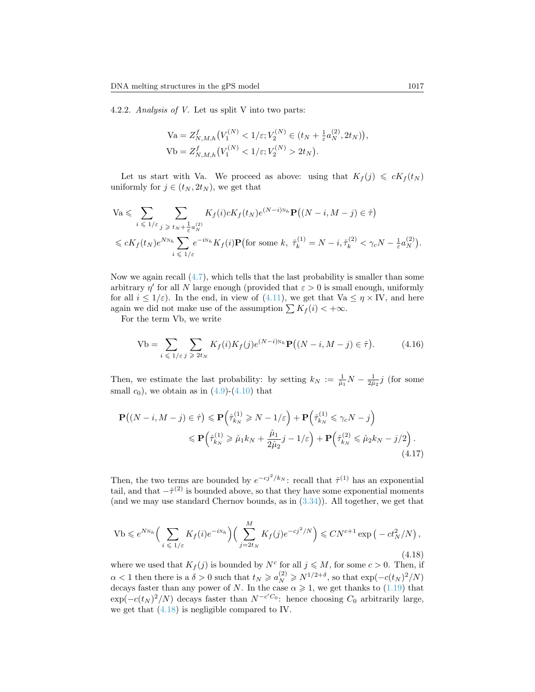4.2.2. Analysis of V. Let us split V into two parts:

$$
Va = Z_{N,M,h}^f(V_1^{(N)} < 1/\varepsilon; V_2^{(N)} \in (t_N + \frac{1}{\varepsilon} a_N^{(2)}, 2t_N),
$$
\n
$$
Vb = Z_{N,M,h}^f(V_1^{(N)} < 1/\varepsilon; V_2^{(N)} > 2t_N).
$$

Let us start with Va. We proceed as above: using that  $K_f(j) \leq cK_f(t_N)$ uniformly for  $j \in (t_N, 2t_N)$ , we get that

$$
\begin{split} &\text{Va} \leqslant \sum_{i \leqslant 1/\varepsilon} \sum_{j \geqslant t_N + \frac{1}{\varepsilon} a_N^{(2)}} K_f(i) c K_f(t_N) e^{(N-i)N_h} \mathbf{P}\big((N-i, M-j) \in \hat{\tau}\big) \\ &\leqslant c K_f(t_N) e^{N N_h} \sum_{i \leqslant 1/\varepsilon} e^{-i N_h} K_f(i) \mathbf{P}\big(\text{for some } k, \ \hat{\tau}_k^{(1)} = N-i, \hat{\tau}_k^{(2)} < \gamma_c N - \frac{1}{\varepsilon} a_N^{(2)}\big). \end{split}
$$

Now we again recall [\(4.7\)](#page-21-0), which tells that the last probability is smaller than some arbitrary  $\eta'$  for all N large enough (provided that  $\varepsilon > 0$  is small enough, uniformly for all  $i \leq 1/\varepsilon$ ). In the end, in view of [\(4.11\)](#page-22-1), we get that  $Va \leq \eta \times IV$ , and here again we did not make use of the assumption  $\sum K_f (i) < +\infty$ .

For the term Vb, we write

<span id="page-24-1"></span>
$$
\text{Vb} = \sum_{i \leq 1/\varepsilon} \sum_{j \geq 2t_N} K_f(i) K_f(j) e^{(N-i)N_h} \mathbf{P} \big( (N-i, M-j) \in \hat{\tau} \big).
$$
 (4.16)

Then, we estimate the last probability: by setting  $k_N := \frac{1}{\hat{\mu}_1} N - \frac{1}{2\hat{\mu}_2} j$  (for some small  $c_0$ , we obtain as in  $(4.9)-(4.10)$  $(4.9)-(4.10)$  $(4.9)-(4.10)$  that

$$
\mathbf{P}((N-i, M-j) \in \hat{\tau}) \leq \mathbf{P}\left(\hat{\tau}_{k_N}^{(1)} \geq N-1/\varepsilon\right) + \mathbf{P}\left(\hat{\tau}_{k_N}^{(1)} \leq \gamma_c N - j\right)
$$
  

$$
\leq \mathbf{P}\left(\hat{\tau}_{k_N}^{(1)} \geq \hat{\mu}_1 k_N + \frac{\hat{\mu}_1}{2\hat{\mu}_2}j - 1/\varepsilon\right) + \mathbf{P}\left(\hat{\tau}_{k_N}^{(2)} \leq \hat{\mu}_2 k_N - j/2\right).
$$
\n(4.17)

Then, the two terms are bounded by  $e^{-cj^2/k_N}$ : recall that  $\hat{\tau}^{(1)}$  has an exponential tail, and that  $-\hat{\tau}^{(2)}$  is bounded above, so that they have some exponential moments (and we may use standard Chernov bounds, as in [\(3.34\)](#page-17-0)). All together, we get that

<span id="page-24-0"></span>
$$
\text{Vb} \leqslant e^{N_{N_h}} \Big( \sum_{i \leqslant 1/\varepsilon} K_f(i) e^{-i N_h} \Big) \Big( \sum_{j=2t_N}^{M} K_f(j) e^{-cj^2/N} \Big) \leqslant C N^{c+1} \exp \Big( -ct_N^2/N \Big),\tag{4.18}
$$

where we used that  $K_f(j)$  is bounded by  $N^c$  for all  $j \leqslant M$ , for some  $c > 0$ . Then, if  $\alpha < 1$  then there is a  $\delta > 0$  such that  $t_N \geqslant a_N^{(2)} \geqslant N^{1/2+\delta}$ , so that  $\exp(-c(t_N)^2/N)$ decays faster than any power of N. In the case  $\alpha \geq 1$ , we get thanks to [\(1.19\)](#page-6-1) that  $\exp(-c(t_N)^2/N)$  decays faster than  $N^{-c'C_0}$ : hence choosing  $C_0$  arbitrarily large, we get that [\(4.18\)](#page-24-0) is negligible compared to IV.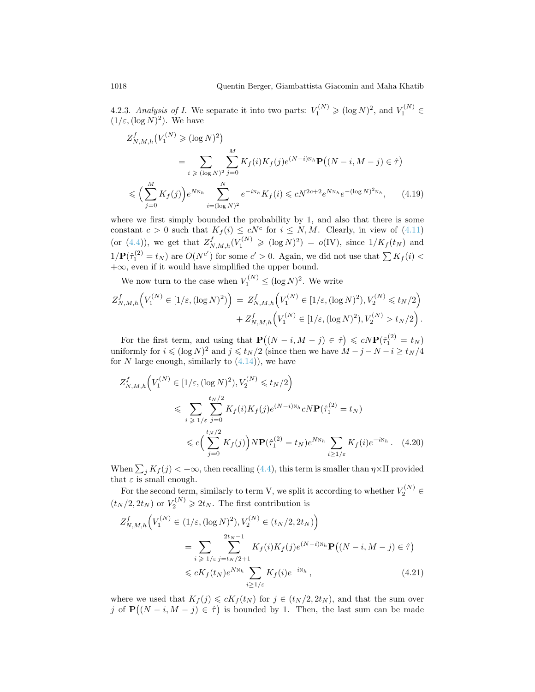4.2.3. Analysis of I. We separate it into two parts:  $V_1^{(N)} \geqslant (\log N)^2$ , and  $V_1^{(N)} \in$  $(1/\varepsilon, (\log N)^2)$ . We have

<span id="page-25-0"></span>
$$
Z_{N,M,h}^{f}(V_1^{(N)} \geq (\log N)^2)
$$
  
= 
$$
\sum_{i \geq (\log N)^2} \sum_{j=0}^{M} K_f(i) K_f(j) e^{(N-i)N_h} \mathbf{P}((N-i, M-j) \in \hat{\tau})
$$
  

$$
\leq (\sum_{j=0}^{M} K_f(j)) e^{N_{N_h}} \sum_{i=(\log N)^2}^{N} e^{-iN_h} K_f(i) \leq c N^{2c+2} e^{N_{N_h}} e^{-(\log N)^2 N_h}, \quad (4.19)
$$

where we first simply bounded the probability by 1, and also that there is some constant  $c > 0$  such that  $K_f(i) \leq cN^c$  for  $i \leq N, M$ . Clearly, in view of [\(4.11\)](#page-22-1) (or [\(4.4\)](#page-20-4)), we get that  $Z_{N,M,h}^f(V_1^{(N)} \geqslant (\log N)^2) = o(IV)$ , since  $1/K_f(t_N)$  and  $1/\mathbf{P}(\hat{\tau}_1^{(2)} = t_N)$  are  $O(N^{c'})$  for some  $c' > 0$ . Again, we did not use that  $\sum K_f(i) <$ +∞, even if it would have simplified the upper bound.

We now turn to the case when  $V_1^{(N)} \leq (\log N)^2$ . We write

$$
Z_{N,M,h}^f\Big(V_1^{(N)} \in [1/\varepsilon, (\log N)^2)\Big) = Z_{N,M,h}^f\Big(V_1^{(N)} \in [1/\varepsilon, (\log N)^2), V_2^{(N)} \le t_N/2\Big) + Z_{N,M,h}^f\Big(V_1^{(N)} \in [1/\varepsilon, (\log N)^2), V_2^{(N)} > t_N/2\Big).
$$

For the first term, and using that  $\mathbf{P}((N-i, M-j) \in \hat{\tau}) \leq cN \mathbf{P}(\hat{\tau}_1^{(2)} = t_N)$ uniformly for  $i \leqslant (\log N)^2$  and  $j \leqslant t_N/2$  (since then we have  $M - j - N - i \geqslant t_N/4$ for N large enough, similarly to  $(4.14)$ , we have

<span id="page-25-1"></span>
$$
Z_{N,M,h}^f\Big(V_1^{(N)} \in [1/\varepsilon, (\log N)^2), V_2^{(N)} \le t_N/2\Big)
$$
  

$$
\le \sum_{i \ge 1/\varepsilon} \sum_{j=0}^{t_N/2} K_f(i) K_f(j) e^{(N-i)N_h} cN \mathbf{P}(\hat{\tau}_1^{(2)} = t_N)
$$
  

$$
\le c \Big(\sum_{j=0}^{t_N/2} K_f(j)\Big) N \mathbf{P}(\hat{\tau}_1^{(2)} = t_N) e^{N N_h} \sum_{i \ge 1/\varepsilon} K_f(i) e^{-i N_h}.
$$
 (4.20)

When  $\sum_j K_f(j) < +\infty$ , then recalling [\(4.4\)](#page-20-4), this term is smaller than  $\eta \times \Pi$  provided that  $\varepsilon$  is small enough.

For the second term, similarly to term V, we split it according to whether  $V_2^{(N)}$   $\in$  $(t_N/2, 2t_N)$  or  $V_2^{(N)} \geq 2t_N$ . The first contribution is

<span id="page-25-2"></span>
$$
Z_{N,M,h}^{f}\Big(V_{1}^{(N)} \in (1/\varepsilon, (\log N)^{2}), V_{2}^{(N)} \in (t_{N}/2, 2t_{N})\Big)
$$
  
= 
$$
\sum_{i \geq 1/\varepsilon} \sum_{j=t_{N}/2+1}^{2t_{N}-1} K_{f}(i) K_{f}(j) e^{(N-i)N_{h}} \mathbf{P}((N-i, M-j) \in \hat{\tau})
$$
  
\$\leqslant cK\_{f}(t\_{N})e^{N\_{N\_{h}}}\sum\_{i \geq 1/\varepsilon} K\_{f}(i) e^{-iN\_{h}}, \qquad (4.21)\$

where we used that  $K_f(j) \leq cK_f(t_N)$  for  $j \in (t_N/2, 2t_N)$ , and that the sum over j of  $\mathbf{P}((N-i, M-j) \in \hat{\tau})$  is bounded by 1. Then, the last sum can be made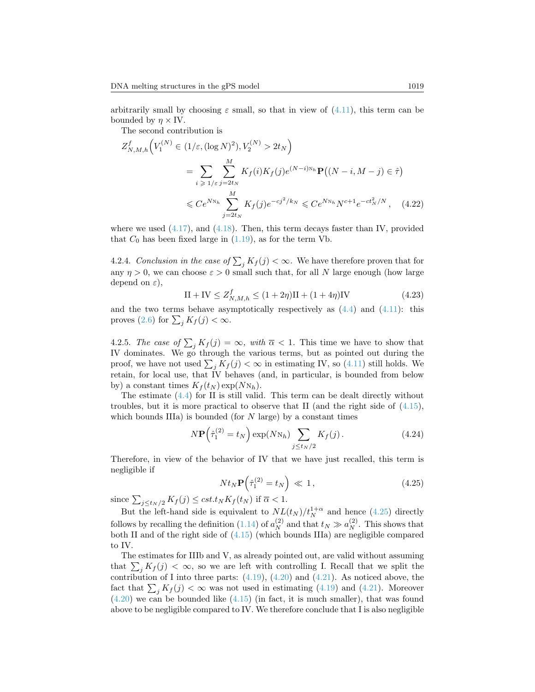arbitrarily small by choosing  $\varepsilon$  small, so that in view of  $(4.11)$ , this term can be bounded by  $\eta \times IV$ .

The second contribution is

$$
Z_{N,M,h}^{f}\Big(V_{1}^{(N)} \in (1/\varepsilon, (\log N)^{2}), V_{2}^{(N)} > 2t_{N}\Big)
$$
  
= 
$$
\sum_{i \geq 1/\varepsilon} \sum_{j=2t_{N}}^{M} K_{f}(i)K_{f}(j)e^{(N-i)N_{h}} \mathbf{P}((N-i, M-j) \in \hat{\tau})
$$
  

$$
\leq C e^{N_{N_{h}}} \sum_{j=2t_{N}}^{M} K_{f}(j)e^{-cj^{2}/k_{N}} \leq C e^{N_{N_{h}}} N^{c+1}e^{-ct_{N}^{2}/N}, \quad (4.22)
$$

where we used  $(4.17)$ , and  $(4.18)$ . Then, this term decays faster than IV, provided that  $C_0$  has been fixed large in  $(1.19)$ , as for the term Vb.

4.2.4. Conclusion in the case of  $\sum_j K_j(j) < \infty$ . We have therefore proven that for any  $\eta > 0$ , we can choose  $\varepsilon > 0$  small such that, for all N large enough (how large depend on  $\varepsilon$ ),

$$
II + IV \le Z_{N,M,h}^f \le (1 + 2\eta)II + (1 + 4\eta)IV
$$
\n(4.23)

and the two terms behave asymptotically respectively as  $(4.4)$  and  $(4.11)$ : this proves [\(2.6\)](#page-10-0) for  $\sum_j K_f(j) < \infty$ .

4.2.5. The case of  $\sum_j K_j(j) = \infty$ , with  $\overline{\alpha} < 1$ . This time we have to show that IV dominates. We go through the various terms, but as pointed out during the proof, we have not used  $\sum_j K_j(j) < \infty$  in estimating IV, so [\(4.11\)](#page-22-1) still holds. We retain, for local use, that IV behaves (and, in particular, is bounded from below by) a constant times  $K_f(t_N) \exp(NN_h)$ .

The estimate [\(4.4\)](#page-20-4) for II is still valid. This term can be dealt directly without troubles, but it is more practical to observe that II (and the right side of  $(4.15)$ , which bounds IIIa) is bounded (for  $N$  large) by a constant times

$$
N\mathbf{P}\left(\hat{\tau}_1^{(2)} = t_N\right) \exp(NN_h) \sum_{j \le t_N/2} K_f(j). \tag{4.24}
$$

Therefore, in view of the behavior of IV that we have just recalled, this term is negligible if

<span id="page-26-0"></span>
$$
Nt_N \mathbf{P}\left(\hat{\tau}_1^{(2)} = t_N\right) \ll 1, \tag{4.25}
$$

since  $\sum_{j \le t_N/2} K_f(j) \le cst_t t_N K_f(t_N)$  if  $\overline{\alpha} < 1$ .

But the left-hand side is equivalent to  $NL(t_N)/t_N^{1+\alpha}$  and hence [\(4.25\)](#page-26-0) directly follows by recalling the definition  $(1.14)$  of  $a_N^{(2)}$  and that  $t_N \gg a_N^{(2)}$ . This shows that both II and of the right side of [\(4.15\)](#page-23-2) (which bounds IIIa) are negligible compared to IV.

The estimates for IIIb and V, as already pointed out, are valid without assuming that  $\sum_j K_j(j) < \infty$ , so we are left with controlling I. Recall that we split the contribution of I into three parts:  $(4.19)$ ,  $(4.20)$  and  $(4.21)$ . As noticed above, the fact that  $\sum_j K_j(j) < \infty$  was not used in estimating [\(4.19\)](#page-25-0) and [\(4.21\)](#page-25-2). Moreover [\(4.20\)](#page-25-1) we can be bounded like [\(4.15\)](#page-23-2) (in fact, it is much smaller), that was found above to be negligible compared to IV. We therefore conclude that I is also negligible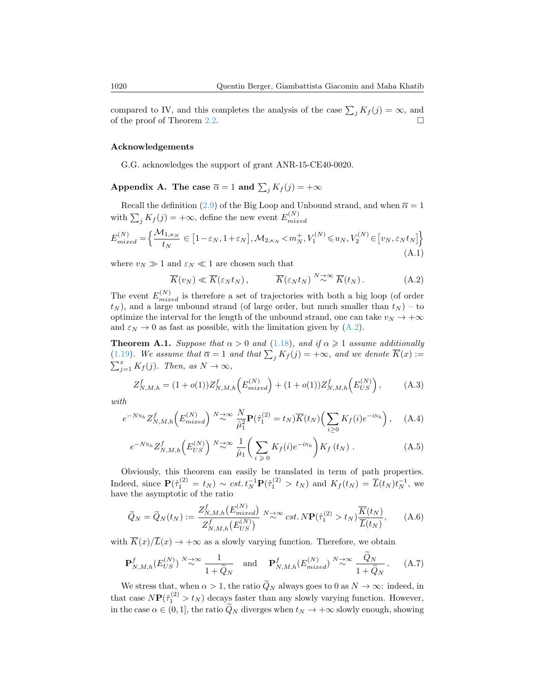compared to IV, and this completes the analysis of the case  $\sum_j K_j(j) = \infty$ , and of the proof of Theorem [2.2.](#page-10-2)

#### Acknowledgements

G.G. acknowledges the support of grant ANR-15-CE40-0020.

<span id="page-27-0"></span>Appendix A. The case  $\overline{\alpha} = 1$  and  $\sum_j K_j(j) = +\infty$ 

Recall the definition [\(2.9\)](#page-11-0) of the Big Loop and Unbound strand, and when  $\bar{\alpha} = 1$ with  $\sum_j K_f(j) = +\infty$ , define the new event  $E_{mix}^{(N)}$  $_{mixed}$ 

$$
E_{mixed}^{(N)} = \left\{ \frac{\mathcal{M}_{1,\kappa_N}}{t_N} \in \left[1 - \varepsilon_N, 1 + \varepsilon_N\right], \mathcal{M}_{2,\kappa_N} < m_N^+, V_1^{(N)} \le u_N, V_2^{(N)} \in \left[v_N, \varepsilon_N t_N\right] \right\}
$$
\n(A.1)

where  $v_N \gg 1$  and  $\varepsilon_N \ll 1$  are chosen such that

<span id="page-27-4"></span>
$$
\overline{K}(v_N) \ll \overline{K}(\varepsilon_N t_N), \qquad \overline{K}(\varepsilon_N t_N) \stackrel{N \to \infty}{\sim} \overline{K}(t_N). \tag{A.2}
$$

The event  $E_{mixed}^{(N)}$  is therefore a set of trajectories with both a big loop (of order  $t_N$ ), and a large unbound strand (of large order, but much smaller than  $t_N$ ) – to optimize the interval for the length of the unbound strand, one can take  $v_N \to +\infty$ and  $\varepsilon_N \to 0$  as fast as possible, with the limitation given by [\(A.2\)](#page-27-4).

<span id="page-27-3"></span>**Theorem A.1.** Suppose that  $\alpha > 0$  and [\(1.18\)](#page-6-2), and if  $\alpha \ge 1$  assume additionally [\(1.19\)](#page-6-1). We assume that  $\overline{\alpha} = 1$  and that  $\sum_j K_j(j) = +\infty$ , and we denote  $\overline{K}(x) :=$  $\sum_{j=1}^{x} K_f(j)$ . Then, as  $N \to \infty$ ,

$$
Z_{N,M,h}^f = (1 + o(1))Z_{N,M,h}^f\left(E_{mixed}^{(N)}\right) + (1 + o(1))Z_{N,M,h}^f\left(E_{US}^{(N)}\right),\tag{A.3}
$$

with

$$
e^{-N\mathcal{N}_h} Z_{N,M,h}^f\Big(E_{mixed}^{(N)}\Big)^{N\to\infty} \frac{N}{\hat{\mu}_1^2} \mathbf{P}(\hat{\tau}_1^{(2)} = t_N)\overline{K}(t_N)\Big(\sum_{i\geq 0} K_f(i)e^{-i\mathcal{N}_h}\Big), \quad \text{(A.4)}
$$

$$
e^{-N\mathcal{N}_h} Z^f_{N,M,h}\left(E_{US}^{(N)}\right) \stackrel{N\to\infty}{\sim} \frac{1}{\hat{\mu}_1} \bigg(\sum_{i\geqslant 0} K_f(i)e^{-i\mathcal{N}_h}\bigg) K_f\left(t_N\right) \,. \tag{A.5}
$$

Obviously, this theorem can easily be translated in term of path properties. Indeed, since  $\mathbf{P}(\hat{\tau}_1^{(2)} = t_N) \sim cst \cdot t_N^{-1} \mathbf{P}(\hat{\tau}_1^{(2)} > t_N)$  and  $K_f(t_N) = \overline{L}(t_N)t_N^{-1}$ , we have the asymptotic of the ratio

<span id="page-27-1"></span>
$$
\widetilde{Q}_N = \widetilde{Q}_N(t_N) := \frac{Z_{N,M,h}^f(E_{mixed}^{(N)})}{Z_{N,M,h}^f(E_{US}^{(N)})} \stackrel{N \to \infty}{\sim} cst. \ N\mathbf{P}(\hat{\tau}_1^{(2)} > t_N)\frac{\overline{K}(t_N)}{\overline{L}(t_N)},\tag{A.6}
$$

with  $\overline{K}(x)/\overline{L}(x) \rightarrow +\infty$  as a slowly varying function. Therefore, we obtain

<span id="page-27-2"></span>
$$
\mathbf{P}_{N,M,h}^{f}(E_{US}^{(N)}) \stackrel{N \to \infty}{\sim} \frac{1}{1 + \widetilde{Q}_N} \quad \text{and} \quad \mathbf{P}_{N,M,h}^{f}(E_{mixed}^{(N)}) \stackrel{N \to \infty}{\sim} \frac{Q_N}{1 + \widetilde{Q}_N} \,. \tag{A.7}
$$

We stress that, when  $\alpha > 1$ , the ratio  $\widetilde{Q}_N$  always goes to 0 as  $N \to \infty$ : indeed, in that case  $N\mathbf{P}(\hat{\tau}_1^{(2)} > t_N)$  decays faster than any slowly varying function. However, in the case  $\alpha \in (0,1]$ , the ratio  $\widetilde{Q}_N$  diverges when  $t_N \to +\infty$  slowly enough, showing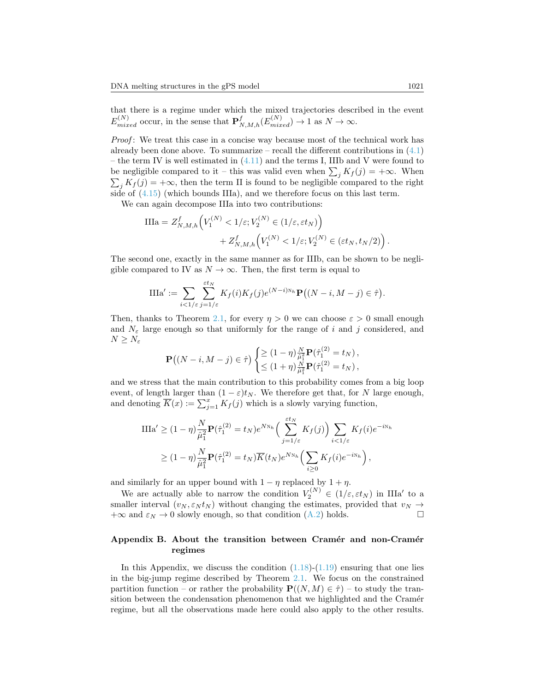that there is a regime under which the mixed trajectories described in the event  $E_{mixed}^{(N)}$  occur, in the sense that  $\mathbf{P}_{N,M,h}^{f}(E_{mixed}^{(N)}) \to 1$  as  $N \to \infty$ .

Proof: We treat this case in a concise way because most of the technical work has already been done above. To summarize – recall the different contributions in  $(4.1)$ – the term IV is well estimated in  $(4.11)$  and the terms I, IIIb and V were found to be negligible compared to it – this was valid even when  $\sum_j K_j(j) = +\infty$ . When  $\sum_j K_f(j) = +\infty$ , then the term II is found to be negligible compared to the right side of  $(4.15)$  (which bounds IIIa), and we therefore focus on this last term.

We can again decompose IIIa into two contributions:

$$
\begin{split} \text{IIIa} &= Z_{N,M,h}^f \Big( V_1^{(N)} < 1/\varepsilon; V_2^{(N)} \in (1/\varepsilon, \varepsilon t_N) \Big) \\ &+ Z_{N,M,h}^f \Big( V_1^{(N)} < 1/\varepsilon; V_2^{(N)} \in (\varepsilon t_N, t_N/2) \Big) \,. \end{split}
$$

The second one, exactly in the same manner as for IIIb, can be shown to be negligible compared to IV as  $N \to \infty$ . Then, the first term is equal to

$$
\text{IIIa}' := \sum_{i < 1/\varepsilon} \sum_{j=1/\varepsilon}^{\varepsilon t_N} K_f(i) K_f(j) e^{(N-i)N_h} \mathbf{P}\big((N-i, M-j) \in \hat{\tau}\big).
$$

Then, thanks to Theorem [2.1,](#page-9-1) for every  $\eta > 0$  we can choose  $\varepsilon > 0$  small enough and  $N_{\varepsilon}$  large enough so that uniformly for the range of i and j considered, and  $N \geq N_{\varepsilon}$ 

$$
\mathbf{P}((N-i, M-j) \in \hat{\tau}) \begin{cases} \geq (1-\eta) \frac{N}{\hat{\mu}_1^2} \mathbf{P}(\hat{\tau}_1^{(2)} = t_N), \\ \leq (1+\eta) \frac{N}{\hat{\mu}_1^2} \mathbf{P}(\hat{\tau}_1^{(2)} = t_N), \end{cases}
$$

and we stress that the main contribution to this probability comes from a big loop event, of length larger than  $(1 - \varepsilon)t_N$ . We therefore get that, for N large enough, and denoting  $\overline{K}(x) := \sum_{j=1}^{x} K_j(j)$  which is a slowly varying function,

$$
\begin{split} \text{IIIa}' &\geq (1-\eta) \frac{N}{\hat{\mu}_1^2} \mathbf{P}(\hat{\tau}_1^{(2)} = t_N) e^{N\mathrm{N}_h} \Big( \sum_{j=1/\varepsilon}^{\varepsilon t_N} K_f(j) \Big) \sum_{i < 1/\varepsilon} K_f(i) e^{-i\mathrm{N}_h} \\ &\geq (1-\eta) \frac{N}{\hat{\mu}_1^2} \mathbf{P}(\hat{\tau}_1^{(2)} = t_N) \overline{K}(t_N) e^{N\mathrm{N}_h} \Big( \sum_{i \geq 0} K_f(i) e^{-i\mathrm{N}_h} \Big) \,, \end{split}
$$

and similarly for an upper bound with  $1 - \eta$  replaced by  $1 + \eta$ .

We are actually able to narrow the condition  $V_2^{(N)} \in (1/\varepsilon, \varepsilon t_N)$  in IIIa' to a smaller interval  $(v_N, \varepsilon_N t_N)$  without changing the estimates, provided that  $v_N \to$  $+\infty$  and  $\varepsilon_N \to 0$  slowly enough, so that condition [\(A.2\)](#page-27-4) holds.

# <span id="page-28-0"></span>Appendix B. About the transition between Cramér and non-Cramér regimes

In this Appendix, we discuss the condition  $(1.18)-(1.19)$  $(1.18)-(1.19)$  $(1.18)-(1.19)$  ensuring that one lies in the big-jump regime described by Theorem [2.1.](#page-9-1) We focus on the constrained partition function – or rather the probability  $\mathbf{P}((N, M) \in \hat{\tau})$  – to study the transition between the condensation phenomenon that we highlighted and the Cramér regime, but all the observations made here could also apply to the other results.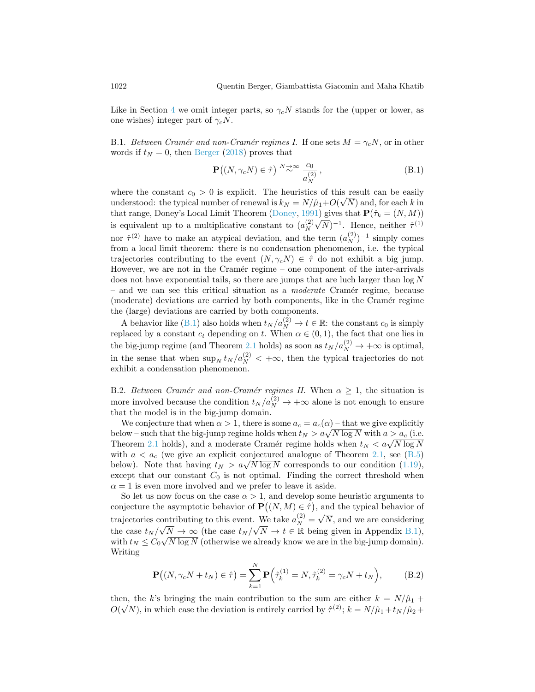Like in Section [4](#page-20-0) we omit integer parts, so  $\gamma_c N$  stands for the (upper or lower, as one wishes) integer part of  $\gamma_c N$ .

<span id="page-29-0"></span>B.1. Between Cramér and non-Cramér regimes I. If one sets  $M = \gamma_c N$ , or in other words if  $t_N = 0$ , then [Berger](#page-31-4) [\(2018\)](#page-31-4) proves that

<span id="page-29-2"></span>
$$
\mathbf{P}((N, \gamma_c N) \in \hat{\tau}) \stackrel{N \to \infty}{\sim} \frac{c_0}{a_N^{(2)}},
$$
\n(B.1)

where the constant  $c_0 > 0$  is explicit. The heuristics of this result can be easily understood: the typical number of renewal is  $k_N = N/\hat{\mu}_1 + O(\sqrt{N})$  and, for each k in that range, Doney's Local Limit Theorem [\(Doney,](#page-32-10) [1991\)](#page-32-10) gives that  $\mathbf{P}(\hat{\tau}_k = (N, M))$ is equivalent up to a multiplicative constant to  $(a_N^{(2)})$  $\frac{(2)}{N}\sqrt{N}$ <sup>-1</sup>. Hence, neither  $\hat{\tau}^{(1)}$ nor  $\hat{\tau}^{(2)}$  have to make an atypical deviation, and the term  $(a_N^{(2)})^{-1}$  simply comes from a local limit theorem: there is no condensation phenomenon, i.e. the typical trajectories contributing to the event  $(N, \gamma_c N) \in \hat{\tau}$  do not exhibit a big jump. However, we are not in the Cramér regime – one component of the inter-arrivals does not have exponential tails, so there are jumps that are luch larger than  $\log N$  $-$  and we can see this critical situation as a *moderate* Cramér regime, because (moderate) deviations are carried by both components, like in the Cramér regime the (large) deviations are carried by both components.

A behavior like [\(B.1\)](#page-29-2) also holds when  $t_N/a_N^{(2)} \to t \in \mathbb{R}$ : the constant  $c_0$  is simply replaced by a constant  $c_t$  depending on t. When  $\alpha \in (0,1)$ , the fact that one lies in the big-jump regime (and Theorem [2.1](#page-9-1) holds) as soon as  $t_N/a_N^{(2)} \to +\infty$  is optimal, in the sense that when  $\sup_N t_N / a_N^{(2)} < +\infty$ , then the typical trajectories do not exhibit a condensation phenomenon.

<span id="page-29-1"></span>B.2. Between Cramér and non-Cramér regimes II. When  $\alpha \geq 1$ , the situation is more involved because the condition  $t_N / a_N^{(2)} \to +\infty$  alone is not enough to ensure that the model is in the big-jump domain.

We conjecture that when  $\alpha > 1$ , there is some  $a_c = a_c(\alpha)$  – that we give explicitly below – such that the big-jump regime holds when  $t_N > a\sqrt{N \log N}$  with  $a > a_c$  (i.e. Theorem [2.1](#page-9-1) holds), and a moderate Cramér regime holds when  $t_N < a\sqrt{N \log N}$ with  $a < a_c$  (we give an explicit conjectured analogue of Theorem [2.1,](#page-9-1) see [\(B.5\)](#page-30-0) below). Note that having  $t_N > a\sqrt{N \log N}$  corresponds to our condition [\(1.19\)](#page-6-1), except that our constant  $C_0$  is not optimal. Finding the correct threshold when  $\alpha = 1$  is even more involved and we prefer to leave it aside.

So let us now focus on the case  $\alpha > 1$ , and develop some heuristic arguments to conjecture the asymptotic behavior of  $\mathbf{P}((N, M) \in \hat{\tau})$ , and the typical behavior of trajectories contributing to this event. We take  $a_N^{(2)} = \sqrt{N}$ , and we are considering the case  $t_N / \sqrt{N} \to \infty$  (the case  $t_N / \sqrt{N} \to t \in \mathbb{R}$  being given in Appendix [B.1\)](#page-29-0), with  $t_N \leq C_0 \sqrt{N \log N}$  (otherwise we already know we are in the big-jump domain). Writing

$$
\mathbf{P}((N, \gamma_c N + t_N) \in \hat{\tau}) = \sum_{k=1}^{N} \mathbf{P}(\hat{\tau}_k^{(1)} = N, \hat{\tau}_k^{(2)} = \gamma_c N + t_N), \quad (B.2)
$$

then, the k's bringing the main contribution to the sum are either  $k = N/\hat{\mu}_1 +$  $O(\sqrt{N})$ , in which case the deviation is entirely carried by  $\hat{\tau}^{(2)}$ ;  $k = N/\hat{\mu}_1 + t_N/\hat{\mu}_2 +$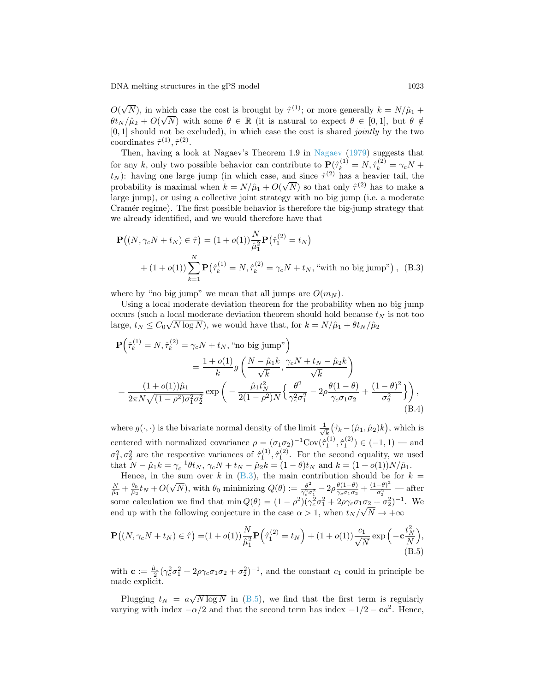$O(\sqrt{N})$ , in which case the cost is brought by  $\hat{\tau}^{(1)}$ ; or more generally  $k = N/\hat{\mu}_1 +$  $\theta$ t<sub>N</sub>/ $\hat{\mu}_2$  +  $O(\sqrt{N})$  with some  $\theta \in \mathbb{R}$  (it is natural to expect  $\theta \in [0,1]$ , but  $\theta \notin$  $[0, 1]$  should not be excluded), in which case the cost is shared *jointly* by the two coordinates  $\hat{\tau}^{(1)}, \hat{\tau}^{(2)}$ .

Then, having a look at Nagaev's Theorem 1.9 in [Nagaev](#page-32-12) [\(1979\)](#page-32-12) suggests that for any k, only two possible behavior can contribute to  $\mathbf{P}(\hat{\tau}_k^{(1)} = N, \hat{\tau}_k^{(2)} = \gamma_c N +$  $t_N$ ): having one large jump (in which case, and since  $\hat{\tau}^{(2)}$  has a heavier tail, the probability is maximal when  $k = N/\hat{\mu}_1 + O(\sqrt{N})$  so that only  $\hat{\tau}^{(2)}$  has to make a large jump), or using a collective joint strategy with no big jump (i.e. a moderate Cramér regime). The first possible behavior is therefore the big-jump strategy that we already identified, and we would therefore have that

<span id="page-30-1"></span>
$$
\mathbf{P}((N, \gamma_c N + t_N) \in \hat{\tau}) = (1 + o(1)) \frac{N}{\hat{\mu}_1^2} \mathbf{P}(\hat{\tau}_1^{(2)} = t_N)
$$
  
+  $(1 + o(1)) \sum_{k=1}^N \mathbf{P}(\hat{\tau}_k^{(1)} = N, \hat{\tau}_k^{(2)} = \gamma_c N + t_N$ , "with no big jump"), (B.3)

where by "no big jump" we mean that all jumps are  $O(m_N)$ .

Using a local moderate deviation theorem for the probability when no big jump occurs (such a local moderate deviation theorem should hold because  $t_N$  is not too large,  $t_N \leq C_0 \sqrt{N \log N}$ , we would have that, for  $k = N/\hat{\mu}_1 + \theta t_N/\hat{\mu}_2$ 

$$
\mathbf{P}\left(\hat{\tau}_{k}^{(1)} = N, \hat{\tau}_{k}^{(2)} = \gamma_{c}N + t_{N}, \text{ "no big jump"}\right)
$$
  
=  $\frac{1 + o(1)}{k}g\left(\frac{N - \hat{\mu}_{1}k}{\sqrt{k}}, \frac{\gamma_{c}N + t_{N} - \hat{\mu}_{2}k}{\sqrt{k}}\right)$   
=  $\frac{(1 + o(1))\hat{\mu}_{1}}{2\pi N\sqrt{(1 - \rho^{2})\sigma_{1}^{2}\sigma_{2}^{2}}}\exp\left(-\frac{\hat{\mu}_{1}t_{N}^{2}}{2(1 - \rho^{2})N}\left\{\frac{\theta^{2}}{\gamma_{c}^{2}\sigma_{1}^{2}} - 2\rho\frac{\theta(1 - \theta)}{\gamma_{c}\sigma_{1}\sigma_{2}} + \frac{(1 - \theta)^{2}}{\sigma_{2}^{2}}\right\}\right),$   
(B.4)

<span id="page-30-2"></span>where  $g(\cdot, \cdot)$  is the bivariate normal density of the limit  $\frac{1}{\sqrt{k}}(\hat{\tau}_k - (\hat{\mu}_1, \hat{\mu}_2)k)$ , which is k centered with normalized covariance  $\rho = (\sigma_1 \sigma_2)^{-1} \text{Cov}(\hat{\tau}_1^{(1)}, \hat{\tau}_1^{(2)}) \in (-1, 1)$  — and  $\sigma_1^2, \sigma_2^2$  are the respective variances of  $\hat{\tau}_1^{(1)}, \hat{\tau}_1^{(2)}$ . For the second equality, we used that  $N - \hat{\mu}_1 k = \gamma_c^{-1} \theta t_N$ ,  $\gamma_c N + t_N - \hat{\mu}_2 k = (1 - \theta) t_N$  and  $k = (1 + o(1))N/\hat{\mu}_1$ .

Hence, in the sum over k in  $(B.3)$ , the main contribution should be for  $k =$  $\frac{N}{\hat{\mu}_1} + \frac{\theta_0}{\hat{\mu}_2} t_N + O(\sqrt{N})$ , with  $\theta_0$  minimizing  $Q(\theta) := \frac{\theta^2}{\gamma_0^2 \sigma^2}$  $\frac{\theta^2}{\gamma_c^2 \sigma_1^2} - 2\rho \frac{\theta(1-\theta)}{\gamma_c \sigma_1 \sigma_2}$  $\frac{\theta(1-\theta)}{\gamma_c \sigma_1 \sigma_2} + \frac{(1-\theta)^2}{\sigma_2^2}$  $\frac{\overline{\sigma_2^2}}{\sigma_2^2}$  — after some calculation we find that  $\min Q(\theta) = (1 - \rho^2)(\gamma_c^2 \sigma_1^2 + 2\rho \gamma_c \sigma_1 \sigma_2 + \sigma_2^2)^{-1}$ . We end up with the following conjecture in the case  $\alpha > 1$ , when  $t_N / \sqrt{N} \rightarrow +\infty$ 

<span id="page-30-0"></span>
$$
\mathbf{P}((N,\gamma_c N + t_N) \in \hat{\tau}) = (1 + o(1)) \frac{N}{\hat{\mu}_1^2} \mathbf{P}(\hat{\tau}_1^{(2)} = t_N) + (1 + o(1)) \frac{c_1}{\sqrt{N}} \exp(-\mathbf{c}\frac{t_N^2}{N}),
$$
\n(B.5)

with  $\mathbf{c} := \frac{\hat{\mu}_1}{2} (\gamma_c^2 \sigma_1^2 + 2\rho \gamma_c \sigma_1 \sigma_2 + \sigma_2^2)^{-1}$ , and the constant  $c_1$  could in principle be made explicit.

Plugging  $t_N = a\sqrt{N \log N}$  in [\(B.5\)](#page-30-0), we find that the first term is regularly varying with index  $-\alpha/2$  and that the second term has index  $-1/2 - ca^2$ . Hence,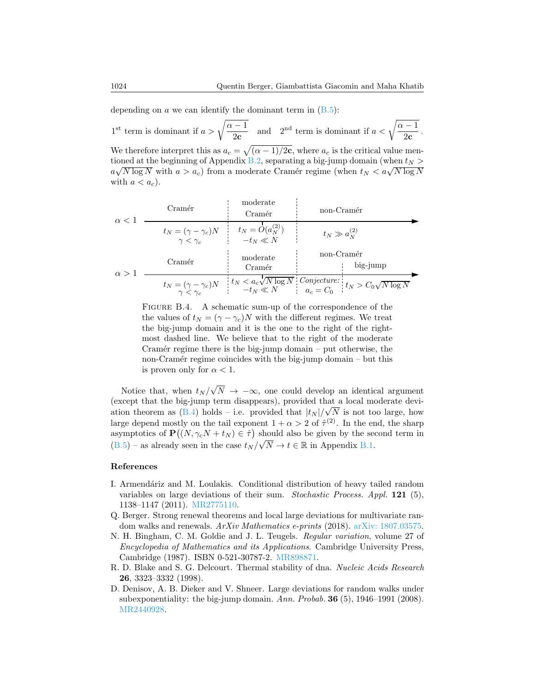depending on  $a$  we can identify the dominant term in  $(B.5)$ :

1<sup>st</sup> term is dominant if  $a > \sqrt{\frac{\alpha - 1}{2}}$  $\overline{\frac{-1}{2c}}$  and  $2^{nd}$  term is dominant if  $a < \sqrt{\frac{\alpha - 1}{2c}}$  $\frac{1}{2c}$ . We therefore interpret this as  $a_c = \sqrt{(\alpha - 1)/2c}$ , where  $a_c$  is the critical value men-tioned at the beginning of Appendix [B.2,](#page-29-1) separating a big-jump domain (when  $t_N$  >  $a\sqrt{N \log N}$  with  $a > a_c$ ) from a moderate Cramér regime (when  $t_N < a\sqrt{N \log N}$ with  $a < a_c$ ).

| $\alpha$ < 1 | Cramér                                              | moderate<br>Cramér                   | non-Cramér                                                                                      |
|--------------|-----------------------------------------------------|--------------------------------------|-------------------------------------------------------------------------------------------------|
|              | $t_N = (\gamma - \gamma_c)N$<br>$\gamma < \gamma_c$ | $t_N = O(a_N^{(2)})$<br>$-t_N \ll N$ | $t_N \gg a_N^{(2)}$                                                                             |
| $\alpha > 1$ | Cramér                                              | moderate<br>Cramér                   | non-Cramér<br>big-jump                                                                          |
|              | $t_N = (\gamma - \gamma_c)N$<br>$\gamma < \gamma_c$ |                                      | $t_N < a_c \sqrt{N \log N}$ Conjecture: $t_N > C_0 \sqrt{N \log N}$<br>$-t_N \ll N$ $a_c = C_0$ |

FIGURE B.4. A schematic sum-up of the correspondence of the the values of  $t_N = (\gamma - \gamma_c)N$  with the different regimes. We treat the big-jump domain and it is the one to the right of the rightmost dashed line. We believe that to the right of the moderate Cramér regime there is the big-jump domain  $-$  put otherwise, the non-Cramér regime coincides with the big-jump domain – but this is proven only for  $\alpha < 1$ .

Notice that, when  $t_N/\sqrt{N} \rightarrow -\infty$ , one could develop an identical argument (except that the big-jump term disappears), provided that a local moderate deviation theorem as  $(B.4)$  holds – i.e. provided that  $|t_N|/\sqrt{N}$  is not too large, how large depend mostly on the tail exponent  $1 + \alpha > 2$  of  $\hat{\tau}^{(2)}$ . In the end, the sharp asymptotics of  $\mathbf{P}((N, \gamma_c N + t_N) \in \hat{\tau})$  should also be given by the second term in  $(B.5)$  – as already seen in the case  $t_N/\sqrt{N} \to t \in \mathbb{R}$  in Appendix [B.1.](#page-29-0)

### References

- <span id="page-31-1"></span>I. Armendáriz and M. Loulakis. Conditional distribution of heavy tailed random variables on large deviations of their sum. Stochastic Process. Appl. 121 (5), 1138–1147 (2011). [MR2775110.](http://www.ams.org/mathscinet-getitem?mr=MR2775110)
- <span id="page-31-4"></span>Q. Berger. Strong renewal theorems and local large deviations for multivariate random walks and renewals.  $ArXiv$  Mathematics e-prints (2018). [arXiv: 1807.03575.](http://arxiv.org/abs/1807.03575)
- <span id="page-31-3"></span>N. H. Bingham, C. M. Goldie and J. L. Teugels. Regular variation, volume 27 of Encyclopedia of Mathematics and its Applications. Cambridge University Press, Cambridge (1987). ISBN 0-521-30787-2. [MR898871.](http://www.ams.org/mathscinet-getitem?mr=MR898871)
- <span id="page-31-0"></span>R. D. Blake and S. G. Delcourt. Thermal stability of dna. Nucleic Acids Research 26, 3323–3332 (1998).
- <span id="page-31-2"></span>D. Denisov, A. B. Dieker and V. Shneer. Large deviations for random walks under subexponentiality: the big-jump domain. Ann. Probab.  $36(5)$ , 1946–1991 (2008). [MR2440928.](http://www.ams.org/mathscinet-getitem?mr=MR2440928)